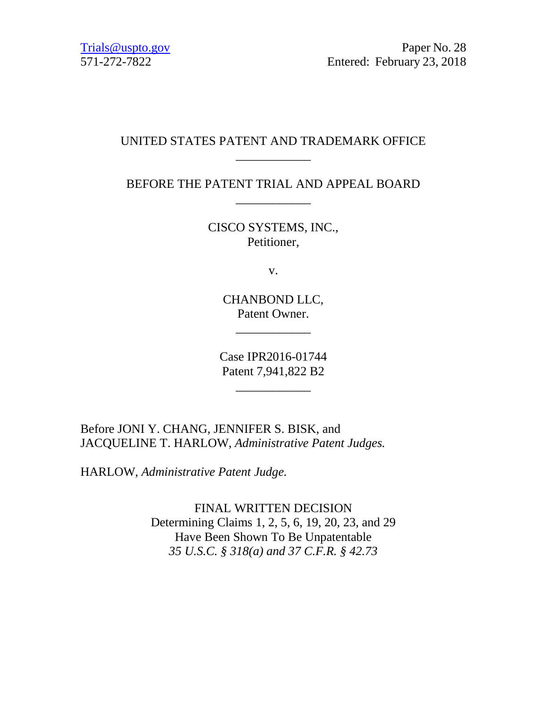Trials @uspto.gov Paper No. 28 571-272-7822 Entered: February 23, 2018

### UNITED STATES PATENT AND TRADEMARK OFFICE \_\_\_\_\_\_\_\_\_\_\_\_

# BEFORE THE PATENT TRIAL AND APPEAL BOARD \_\_\_\_\_\_\_\_\_\_\_\_

CISCO SYSTEMS, INC., Petitioner,

v.

CHANBOND LLC, Patent Owner.

\_\_\_\_\_\_\_\_\_\_\_\_

Case IPR2016-01744 Patent 7,941,822 B2

\_\_\_\_\_\_\_\_\_\_\_\_

Before JONI Y. CHANG, JENNIFER S. BISK, and JACQUELINE T. HARLOW, *Administrative Patent Judges.*

HARLOW, *Administrative Patent Judge.*

FINAL WRITTEN DECISION Determining Claims 1, 2, 5, 6, 19, 20, 23, and 29 Have Been Shown To Be Unpatentable *35 U.S.C. § 318(a) and 37 C.F.R. § 42.73*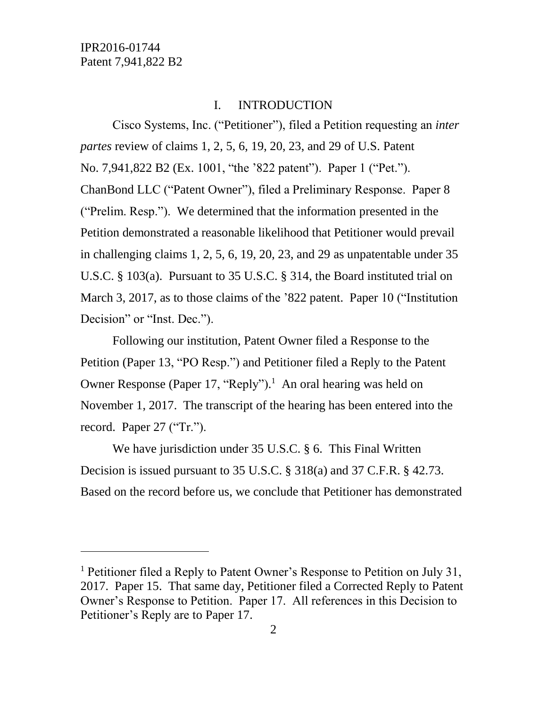l

#### I. INTRODUCTION

Cisco Systems, Inc. ("Petitioner"), filed a Petition requesting an *inter partes* review of claims 1, 2, 5, 6, 19, 20, 23, and 29 of U.S. Patent No. 7,941,822 B2 (Ex. 1001, "the '822 patent"). Paper 1 ("Pet."). ChanBond LLC ("Patent Owner"), filed a Preliminary Response. Paper 8 ("Prelim. Resp."). We determined that the information presented in the Petition demonstrated a reasonable likelihood that Petitioner would prevail in challenging claims 1, 2, 5, 6, 19, 20, 23, and 29 as unpatentable under 35 U.S.C. § 103(a). Pursuant to 35 U.S.C. § 314, the Board instituted trial on March 3, 2017, as to those claims of the '822 patent. Paper 10 ("Institution Decision" or "Inst. Dec.").

Following our institution, Patent Owner filed a Response to the Petition (Paper 13, "PO Resp.") and Petitioner filed a Reply to the Patent Owner Response (Paper 17, "Reply"). 1 An oral hearing was held on November 1, 2017. The transcript of the hearing has been entered into the record. Paper 27 ("Tr.").

We have jurisdiction under 35 U.S.C. § 6. This Final Written Decision is issued pursuant to 35 U.S.C. § 318(a) and 37 C.F.R. § 42.73. Based on the record before us, we conclude that Petitioner has demonstrated

<sup>&</sup>lt;sup>1</sup> Petitioner filed a Reply to Patent Owner's Response to Petition on July 31, 2017. Paper 15. That same day, Petitioner filed a Corrected Reply to Patent Owner's Response to Petition. Paper 17. All references in this Decision to Petitioner's Reply are to Paper 17.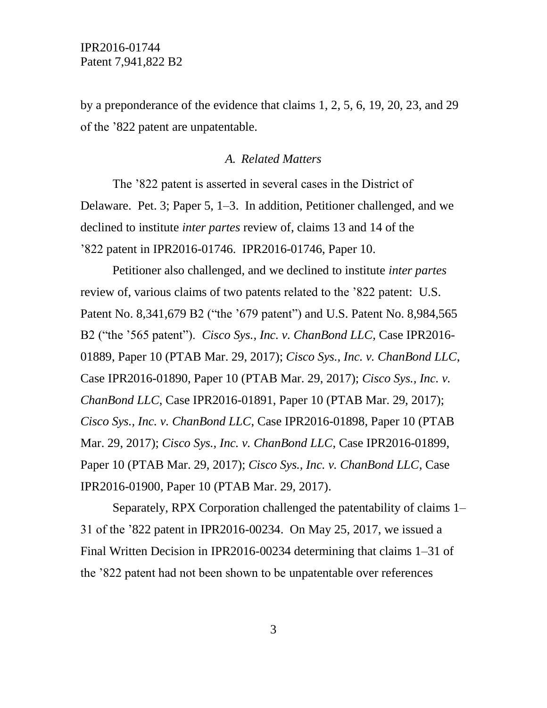by a preponderance of the evidence that claims 1, 2, 5, 6, 19, 20, 23, and 29 of the '822 patent are unpatentable.

#### *A. Related Matters*

The '822 patent is asserted in several cases in the District of Delaware. Pet. 3; Paper 5, 1–3. In addition, Petitioner challenged, and we declined to institute *inter partes* review of, claims 13 and 14 of the '822 patent in IPR2016-01746. IPR2016-01746, Paper 10.

Petitioner also challenged, and we declined to institute *inter partes* review of, various claims of two patents related to the '822 patent: U.S. Patent No. 8,341,679 B2 ("the '679 patent") and U.S. Patent No. 8,984,565 B2 ("the '565 patent"). *Cisco Sys., Inc. v. ChanBond LLC*, Case IPR2016- 01889, Paper 10 (PTAB Mar. 29, 2017); *Cisco Sys., Inc. v. ChanBond LLC*, Case IPR2016-01890, Paper 10 (PTAB Mar. 29, 2017); *Cisco Sys., Inc. v. ChanBond LLC*, Case IPR2016-01891, Paper 10 (PTAB Mar. 29, 2017); *Cisco Sys., Inc. v. ChanBond LLC*, Case IPR2016-01898, Paper 10 (PTAB Mar. 29, 2017); *Cisco Sys., Inc. v. ChanBond LLC*, Case IPR2016-01899, Paper 10 (PTAB Mar. 29, 2017); *Cisco Sys., Inc. v. ChanBond LLC*, Case IPR2016-01900, Paper 10 (PTAB Mar. 29, 2017).

Separately, RPX Corporation challenged the patentability of claims 1– 31 of the '822 patent in IPR2016-00234. On May 25, 2017, we issued a Final Written Decision in IPR2016-00234 determining that claims 1–31 of the '822 patent had not been shown to be unpatentable over references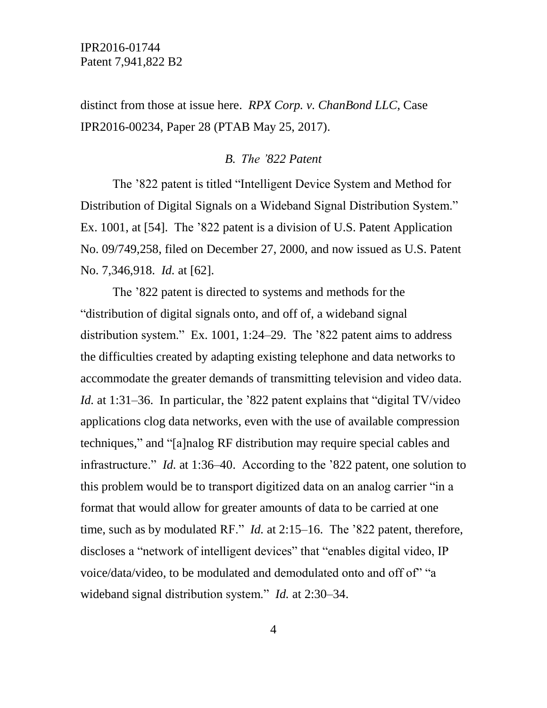distinct from those at issue here. *RPX Corp. v. ChanBond LLC*, Case IPR2016-00234, Paper 28 (PTAB May 25, 2017).

#### *B. The '822 Patent*

The '822 patent is titled "Intelligent Device System and Method for Distribution of Digital Signals on a Wideband Signal Distribution System." Ex. 1001, at [54]. The '822 patent is a division of U.S. Patent Application No. 09/749,258, filed on December 27, 2000, and now issued as U.S. Patent No. 7,346,918. *Id.* at [62].

The '822 patent is directed to systems and methods for the "distribution of digital signals onto, and off of, a wideband signal distribution system." Ex. 1001, 1:24–29. The '822 patent aims to address the difficulties created by adapting existing telephone and data networks to accommodate the greater demands of transmitting television and video data. *Id.* at 1:31–36. In particular, the '822 patent explains that "digital TV/video applications clog data networks, even with the use of available compression techniques," and "[a]nalog RF distribution may require special cables and infrastructure." *Id.* at 1:36–40. According to the '822 patent, one solution to this problem would be to transport digitized data on an analog carrier "in a format that would allow for greater amounts of data to be carried at one time, such as by modulated RF." *Id.* at 2:15–16. The '822 patent, therefore, discloses a "network of intelligent devices" that "enables digital video, IP voice/data/video, to be modulated and demodulated onto and off of" "a wideband signal distribution system." *Id.* at 2:30–34.

4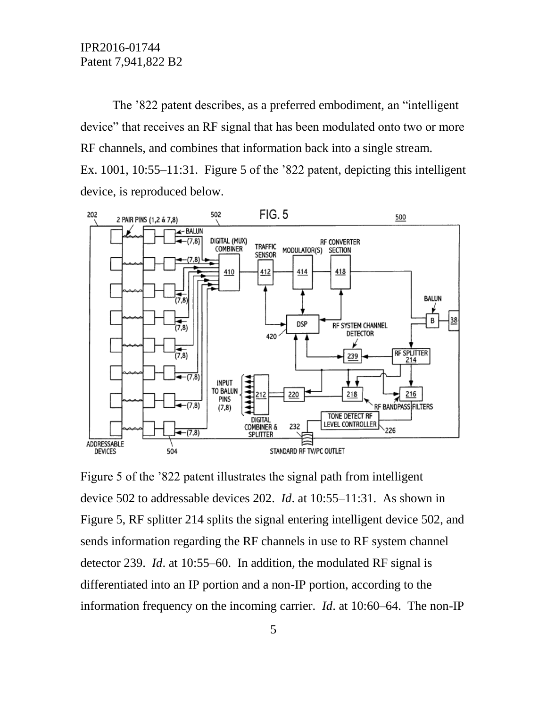The '822 patent describes, as a preferred embodiment, an "intelligent device" that receives an RF signal that has been modulated onto two or more RF channels, and combines that information back into a single stream. Ex. 1001, 10:55–11:31. Figure 5 of the '822 patent, depicting this intelligent device, is reproduced below.



Figure 5 of the '822 patent illustrates the signal path from intelligent device 502 to addressable devices 202. *Id*. at 10:55–11:31. As shown in Figure 5, RF splitter 214 splits the signal entering intelligent device 502, and sends information regarding the RF channels in use to RF system channel detector 239. *Id*. at 10:55–60. In addition, the modulated RF signal is differentiated into an IP portion and a non-IP portion, according to the information frequency on the incoming carrier. *Id*. at 10:60–64. The non-IP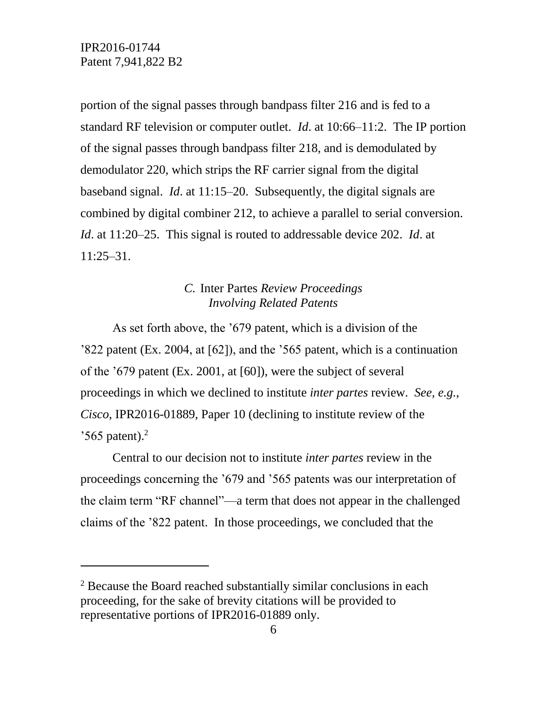$\overline{a}$ 

portion of the signal passes through bandpass filter 216 and is fed to a standard RF television or computer outlet. *Id*. at 10:66–11:2. The IP portion of the signal passes through bandpass filter 218, and is demodulated by demodulator 220, which strips the RF carrier signal from the digital baseband signal. *Id*. at 11:15–20. Subsequently, the digital signals are combined by digital combiner 212, to achieve a parallel to serial conversion. *Id*. at 11:20–25. This signal is routed to addressable device 202. *Id*. at 11:25–31.

### *C.* Inter Partes *Review Proceedings Involving Related Patents*

As set forth above, the '679 patent, which is a division of the '822 patent (Ex. 2004, at [62]), and the '565 patent, which is a continuation of the '679 patent (Ex. 2001, at [60]), were the subject of several proceedings in which we declined to institute *inter partes* review. *See, e.g.*, *Cisco*, IPR2016-01889, Paper 10 (declining to institute review of the  $3565$  patent).<sup>2</sup>

Central to our decision not to institute *inter partes* review in the proceedings concerning the '679 and '565 patents was our interpretation of the claim term "RF channel"––a term that does not appear in the challenged claims of the '822 patent. In those proceedings, we concluded that the

 $2^2$  Because the Board reached substantially similar conclusions in each proceeding, for the sake of brevity citations will be provided to representative portions of IPR2016-01889 only.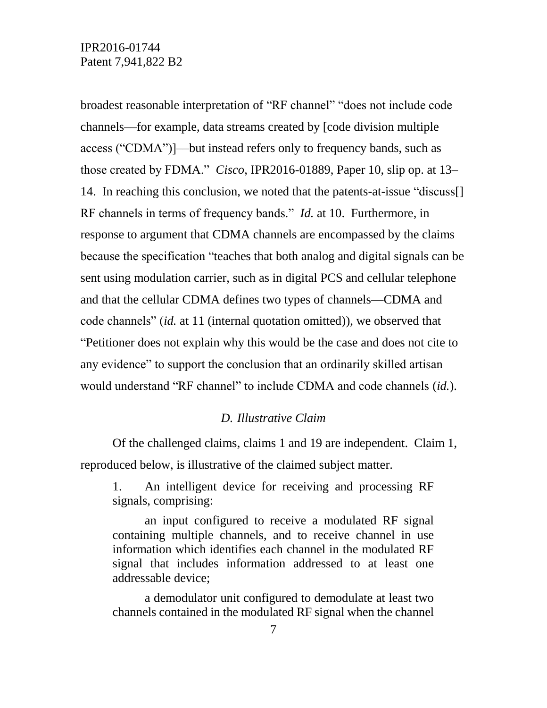broadest reasonable interpretation of "RF channel" "does not include code channels––for example, data streams created by [code division multiple access ("CDMA")]––but instead refers only to frequency bands, such as those created by FDMA." *Cisco*, IPR2016-01889, Paper 10, slip op. at 13– 14. In reaching this conclusion, we noted that the patents-at-issue "discuss[] RF channels in terms of frequency bands." *Id.* at 10. Furthermore, in response to argument that CDMA channels are encompassed by the claims because the specification "teaches that both analog and digital signals can be sent using modulation carrier, such as in digital PCS and cellular telephone and that the cellular CDMA defines two types of channels—CDMA and code channels" (*id.* at 11 (internal quotation omitted)), we observed that "Petitioner does not explain why this would be the case and does not cite to any evidence" to support the conclusion that an ordinarily skilled artisan would understand "RF channel" to include CDMA and code channels (*id.*).

### *D. Illustrative Claim*

Of the challenged claims, claims 1 and 19 are independent. Claim 1, reproduced below, is illustrative of the claimed subject matter.

1. An intelligent device for receiving and processing RF signals, comprising:

an input configured to receive a modulated RF signal containing multiple channels, and to receive channel in use information which identifies each channel in the modulated RF signal that includes information addressed to at least one addressable device;

a demodulator unit configured to demodulate at least two channels contained in the modulated RF signal when the channel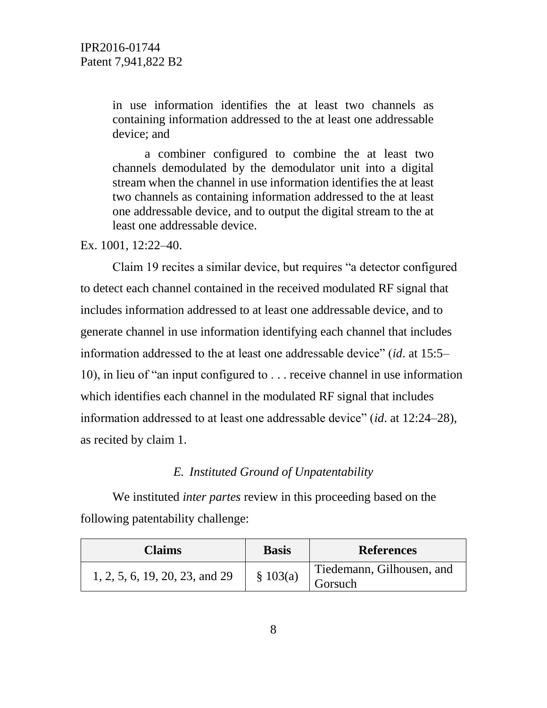in use information identifies the at least two channels as containing information addressed to the at least one addressable device; and

a combiner configured to combine the at least two channels demodulated by the demodulator unit into a digital stream when the channel in use information identifies the at least two channels as containing information addressed to the at least one addressable device, and to output the digital stream to the at least one addressable device.

Ex. 1001, 12:22–40.

Claim 19 recites a similar device, but requires "a detector configured to detect each channel contained in the received modulated RF signal that includes information addressed to at least one addressable device, and to generate channel in use information identifying each channel that includes information addressed to the at least one addressable device" (*id*. at 15:5– 10), in lieu of "an input configured to . . . receive channel in use information which identifies each channel in the modulated RF signal that includes information addressed to at least one addressable device" (*id*. at 12:24–28), as recited by claim 1.

#### *E. Instituted Ground of Unpatentability*

We instituted *inter partes* review in this proceeding based on the following patentability challenge:

| <b>Claims</b>                  | <b>Basis</b> | <b>References</b>                    |
|--------------------------------|--------------|--------------------------------------|
| 1, 2, 5, 6, 19, 20, 23, and 29 | \$103(a)     | Tiedemann, Gilhousen, and<br>Gorsuch |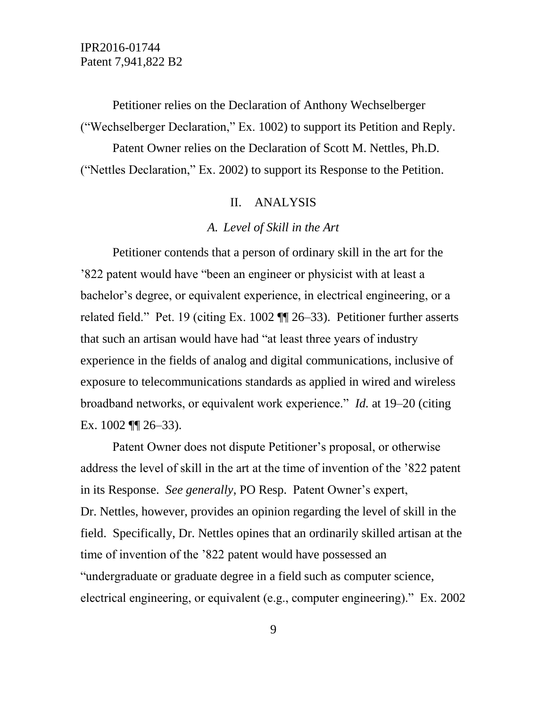Petitioner relies on the Declaration of Anthony Wechselberger ("Wechselberger Declaration," Ex. 1002) to support its Petition and Reply.

Patent Owner relies on the Declaration of Scott M. Nettles, Ph.D. ("Nettles Declaration," Ex. 2002) to support its Response to the Petition.

#### II. ANALYSIS

#### *A. Level of Skill in the Art*

Petitioner contends that a person of ordinary skill in the art for the '822 patent would have "been an engineer or physicist with at least a bachelor's degree, or equivalent experience, in electrical engineering, or a related field." Pet. 19 (citing Ex. 1002 ¶¶ 26–33). Petitioner further asserts that such an artisan would have had "at least three years of industry experience in the fields of analog and digital communications, inclusive of exposure to telecommunications standards as applied in wired and wireless broadband networks, or equivalent work experience." *Id.* at 19–20 (citing Ex. 1002 ¶¶ 26–33).

Patent Owner does not dispute Petitioner's proposal, or otherwise address the level of skill in the art at the time of invention of the '822 patent in its Response. *See generally*, PO Resp. Patent Owner's expert, Dr. Nettles, however, provides an opinion regarding the level of skill in the field. Specifically, Dr. Nettles opines that an ordinarily skilled artisan at the time of invention of the '822 patent would have possessed an "undergraduate or graduate degree in a field such as computer science, electrical engineering, or equivalent (e.g., computer engineering)." Ex. 2002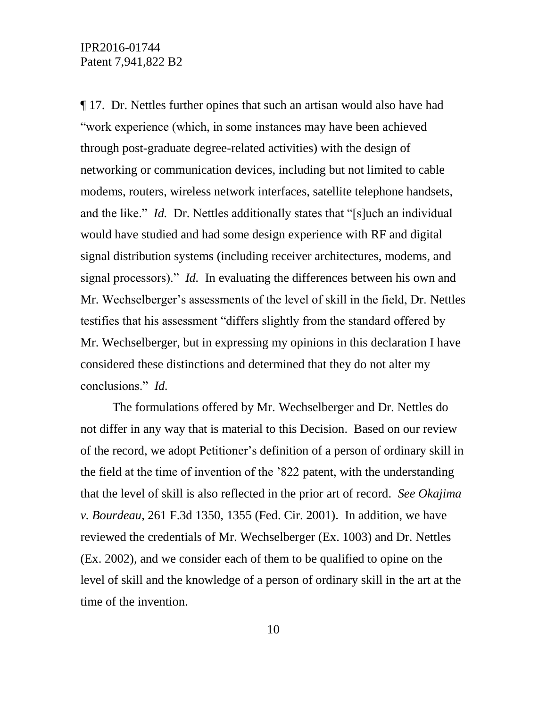¶ 17. Dr. Nettles further opines that such an artisan would also have had "work experience (which, in some instances may have been achieved through post-graduate degree-related activities) with the design of networking or communication devices, including but not limited to cable modems, routers, wireless network interfaces, satellite telephone handsets, and the like." *Id.* Dr. Nettles additionally states that "[s]uch an individual would have studied and had some design experience with RF and digital signal distribution systems (including receiver architectures, modems, and signal processors)." *Id.* In evaluating the differences between his own and Mr. Wechselberger's assessments of the level of skill in the field, Dr. Nettles testifies that his assessment "differs slightly from the standard offered by Mr. Wechselberger, but in expressing my opinions in this declaration I have considered these distinctions and determined that they do not alter my conclusions." *Id.*

The formulations offered by Mr. Wechselberger and Dr. Nettles do not differ in any way that is material to this Decision. Based on our review of the record, we adopt Petitioner's definition of a person of ordinary skill in the field at the time of invention of the '822 patent, with the understanding that the level of skill is also reflected in the prior art of record. *See Okajima v. Bourdeau*, 261 F.3d 1350, 1355 (Fed. Cir. 2001). In addition, we have reviewed the credentials of Mr. Wechselberger (Ex. 1003) and Dr. Nettles (Ex. 2002), and we consider each of them to be qualified to opine on the level of skill and the knowledge of a person of ordinary skill in the art at the time of the invention.

10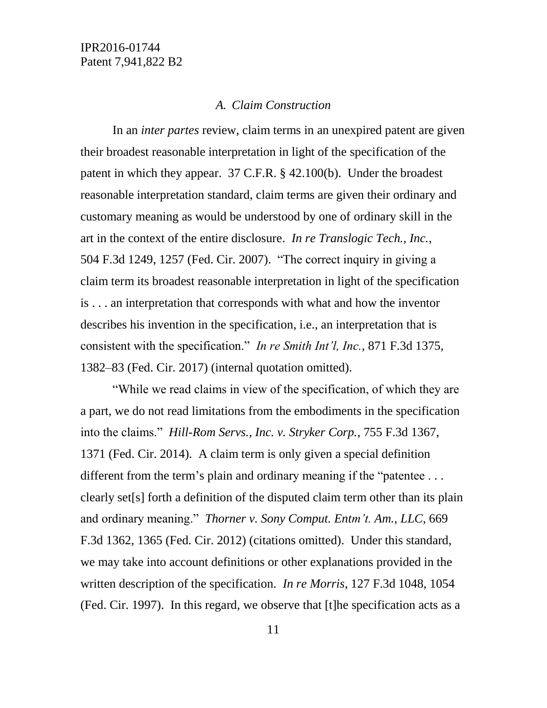#### *A. Claim Construction*

In an *inter partes* review, claim terms in an unexpired patent are given their broadest reasonable interpretation in light of the specification of the patent in which they appear. 37 C.F.R. § 42.100(b). Under the broadest reasonable interpretation standard, claim terms are given their ordinary and customary meaning as would be understood by one of ordinary skill in the art in the context of the entire disclosure. *In re Translogic Tech., Inc.*, 504 F.3d 1249, 1257 (Fed. Cir. 2007). "The correct inquiry in giving a claim term its broadest reasonable interpretation in light of the specification is . . . an interpretation that corresponds with what and how the inventor describes his invention in the specification, i.e., an interpretation that is consistent with the specification." *In re Smith Int'l, Inc.*, 871 F.3d 1375, 1382–83 (Fed. Cir. 2017) (internal quotation omitted).

"While we read claims in view of the specification, of which they are a part, we do not read limitations from the embodiments in the specification into the claims." *Hill-Rom Servs., Inc. v. Stryker Corp.*, 755 F.3d 1367, 1371 (Fed. Cir. 2014). A claim term is only given a special definition different from the term's plain and ordinary meaning if the "patentee... clearly set[s] forth a definition of the disputed claim term other than its plain and ordinary meaning." *Thorner v. Sony Comput. Entm't. Am., LLC*, 669 F.3d 1362, 1365 (Fed. Cir. 2012) (citations omitted). Under this standard, we may take into account definitions or other explanations provided in the written description of the specification. *In re Morris*, 127 F.3d 1048, 1054 (Fed. Cir. 1997). In this regard, we observe that [t]he specification acts as a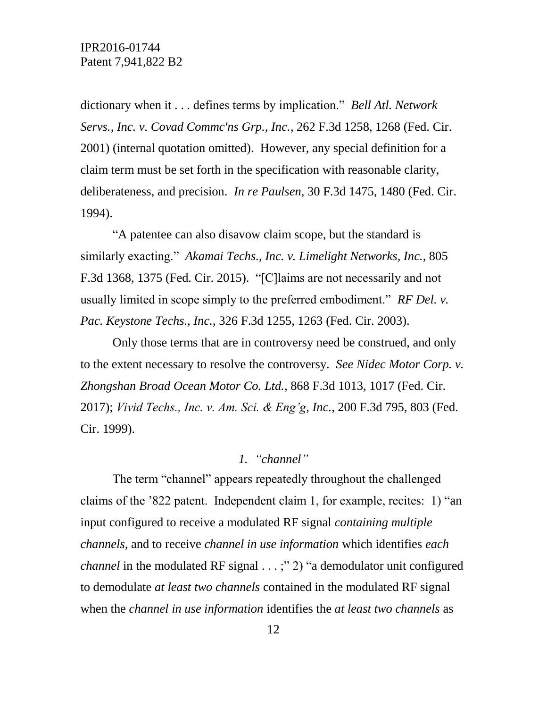dictionary when it . . . defines terms by implication." *Bell Atl. Network Servs., Inc. v. Covad Commc'ns Grp., Inc.*, 262 F.3d 1258, 1268 (Fed. Cir. 2001) (internal quotation omitted). However, any special definition for a claim term must be set forth in the specification with reasonable clarity, deliberateness, and precision. *In re Paulsen*, 30 F.3d 1475, 1480 (Fed. Cir. 1994).

"A patentee can also disavow claim scope, but the standard is similarly exacting." *Akamai Techs., Inc. v. Limelight Networks, Inc.*, 805 F.3d 1368, 1375 (Fed. Cir. 2015). "[C]laims are not necessarily and not usually limited in scope simply to the preferred embodiment." *RF Del. v. Pac. Keystone Techs., Inc.*, 326 F.3d 1255, 1263 (Fed. Cir. 2003).

Only those terms that are in controversy need be construed, and only to the extent necessary to resolve the controversy. *See Nidec Motor Corp. v. Zhongshan Broad Ocean Motor Co. Ltd.,* 868 F.3d 1013, 1017 (Fed. Cir. 2017); *Vivid Techs., Inc. v. Am. Sci. & Eng'g, Inc.*, 200 F.3d 795, 803 (Fed. Cir. 1999).

### *1. "channel"*

The term "channel" appears repeatedly throughout the challenged claims of the '822 patent. Independent claim 1, for example, recites: 1) "an input configured to receive a modulated RF signal *containing multiple channels*, and to receive *channel in use information* which identifies *each channel* in the modulated RF signal . . . ;" 2) "a demodulator unit configured to demodulate *at least two channels* contained in the modulated RF signal when the *channel in use information* identifies the *at least two channels* as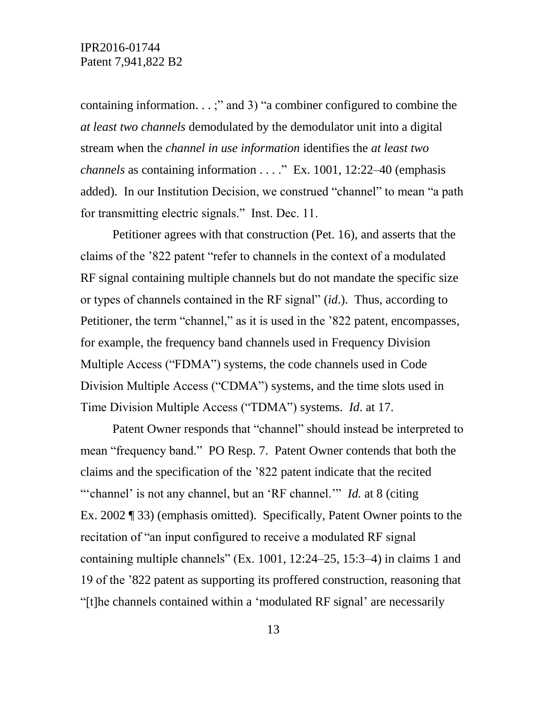containing information. . . ;" and 3) "a combiner configured to combine the *at least two channels* demodulated by the demodulator unit into a digital stream when the *channel in use information* identifies the *at least two channels* as containing information . . . ." Ex. 1001, 12:22–40 (emphasis added). In our Institution Decision, we construed "channel" to mean "a path for transmitting electric signals." Inst. Dec. 11.

Petitioner agrees with that construction (Pet. 16), and asserts that the claims of the '822 patent "refer to channels in the context of a modulated RF signal containing multiple channels but do not mandate the specific size or types of channels contained in the RF signal" (*id*.). Thus, according to Petitioner, the term "channel," as it is used in the '822 patent, encompasses, for example, the frequency band channels used in Frequency Division Multiple Access ("FDMA") systems, the code channels used in Code Division Multiple Access ("CDMA") systems, and the time slots used in Time Division Multiple Access ("TDMA") systems. *Id*. at 17.

Patent Owner responds that "channel" should instead be interpreted to mean "frequency band." PO Resp. 7. Patent Owner contends that both the claims and the specification of the '822 patent indicate that the recited ""channel' is not any channel, but an 'RF channel." *Id.* at 8 (citing Ex. 2002 ¶ 33) (emphasis omitted). Specifically, Patent Owner points to the recitation of "an input configured to receive a modulated RF signal containing multiple channels" (Ex. 1001, 12:24–25, 15:3–4) in claims 1 and 19 of the '822 patent as supporting its proffered construction, reasoning that "[t]he channels contained within a 'modulated RF signal' are necessarily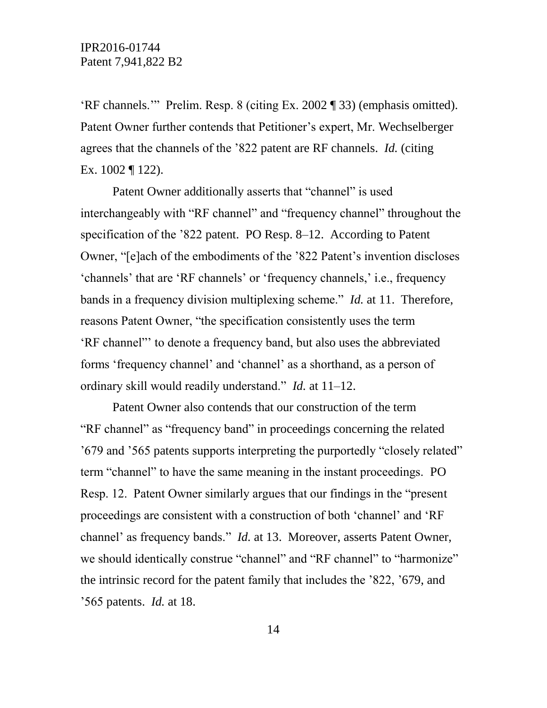'RF channels.'" Prelim. Resp. 8 (citing Ex. 2002 ¶ 33) (emphasis omitted). Patent Owner further contends that Petitioner's expert, Mr. Wechselberger agrees that the channels of the '822 patent are RF channels. *Id.* (citing Ex. 1002 ¶ 122).

Patent Owner additionally asserts that "channel" is used interchangeably with "RF channel" and "frequency channel" throughout the specification of the '822 patent. PO Resp. 8–12. According to Patent Owner, "[e]ach of the embodiments of the '822 Patent's invention discloses 'channels' that are 'RF channels' or 'frequency channels,' i.e., frequency bands in a frequency division multiplexing scheme." *Id.* at 11. Therefore, reasons Patent Owner, "the specification consistently uses the term 'RF channel"' to denote a frequency band, but also uses the abbreviated forms 'frequency channel' and 'channel' as a shorthand, as a person of ordinary skill would readily understand." *Id.* at 11–12.

Patent Owner also contends that our construction of the term "RF channel" as "frequency band" in proceedings concerning the related '679 and '565 patents supports interpreting the purportedly "closely related" term "channel" to have the same meaning in the instant proceedings. PO Resp. 12. Patent Owner similarly argues that our findings in the "present proceedings are consistent with a construction of both 'channel' and 'RF channel' as frequency bands." *Id.* at 13. Moreover, asserts Patent Owner, we should identically construe "channel" and "RF channel" to "harmonize" the intrinsic record for the patent family that includes the '822, '679, and '565 patents. *Id.* at 18.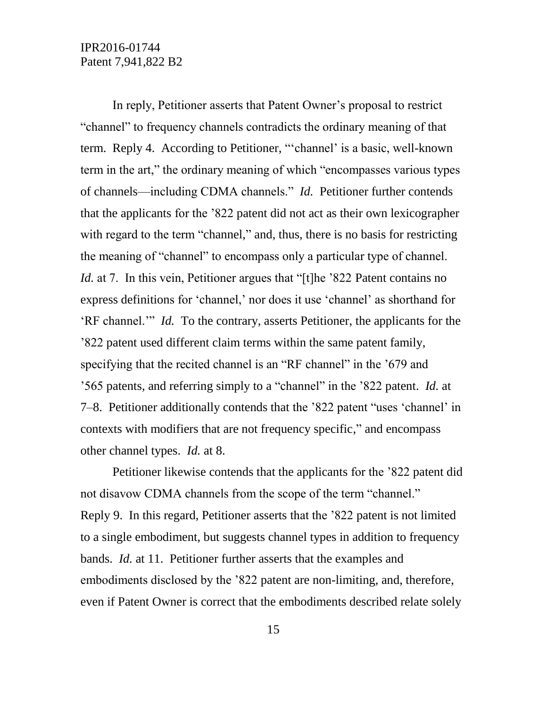In reply, Petitioner asserts that Patent Owner's proposal to restrict "channel" to frequency channels contradicts the ordinary meaning of that term. Reply 4. According to Petitioner, "'channel' is a basic, well-known term in the art," the ordinary meaning of which "encompasses various types of channels––including CDMA channels." *Id.* Petitioner further contends that the applicants for the '822 patent did not act as their own lexicographer with regard to the term "channel," and, thus, there is no basis for restricting the meaning of "channel" to encompass only a particular type of channel. *Id.* at 7. In this vein, Petitioner argues that "[t]he '822 Patent contains no express definitions for 'channel,' nor does it use 'channel' as shorthand for 'RF channel.'" *Id.* To the contrary, asserts Petitioner, the applicants for the '822 patent used different claim terms within the same patent family, specifying that the recited channel is an "RF channel" in the '679 and '565 patents, and referring simply to a "channel" in the '822 patent. *Id.* at 7–8. Petitioner additionally contends that the '822 patent "uses 'channel' in contexts with modifiers that are not frequency specific," and encompass other channel types. *Id.* at 8.

Petitioner likewise contends that the applicants for the '822 patent did not disavow CDMA channels from the scope of the term "channel." Reply 9. In this regard, Petitioner asserts that the '822 patent is not limited to a single embodiment, but suggests channel types in addition to frequency bands. *Id.* at 11. Petitioner further asserts that the examples and embodiments disclosed by the '822 patent are non-limiting, and, therefore, even if Patent Owner is correct that the embodiments described relate solely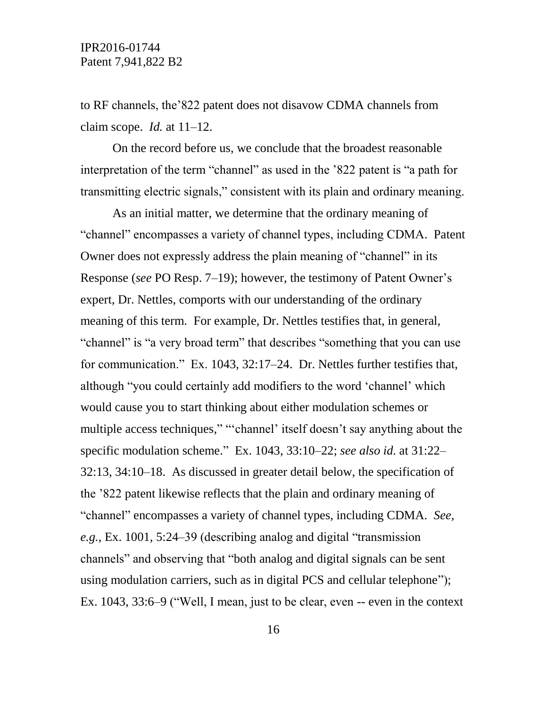to RF channels, the'822 patent does not disavow CDMA channels from claim scope. *Id.* at 11–12.

On the record before us, we conclude that the broadest reasonable interpretation of the term "channel" as used in the '822 patent is "a path for transmitting electric signals," consistent with its plain and ordinary meaning.

As an initial matter, we determine that the ordinary meaning of "channel" encompasses a variety of channel types, including CDMA. Patent Owner does not expressly address the plain meaning of "channel" in its Response (*see* PO Resp. 7–19); however, the testimony of Patent Owner's expert, Dr. Nettles, comports with our understanding of the ordinary meaning of this term. For example, Dr. Nettles testifies that, in general, "channel" is "a very broad term" that describes "something that you can use for communication." Ex. 1043, 32:17–24. Dr. Nettles further testifies that, although "you could certainly add modifiers to the word 'channel' which would cause you to start thinking about either modulation schemes or multiple access techniques," "'channel' itself doesn't say anything about the specific modulation scheme." Ex. 1043, 33:10–22; *see also id.* at 31:22– 32:13, 34:10–18. As discussed in greater detail below, the specification of the '822 patent likewise reflects that the plain and ordinary meaning of "channel" encompasses a variety of channel types, including CDMA. *See, e.g.*, Ex. 1001, 5:24–39 (describing analog and digital "transmission channels" and observing that "both analog and digital signals can be sent using modulation carriers, such as in digital PCS and cellular telephone"); Ex. 1043, 33:6–9 ("Well, I mean, just to be clear, even -- even in the context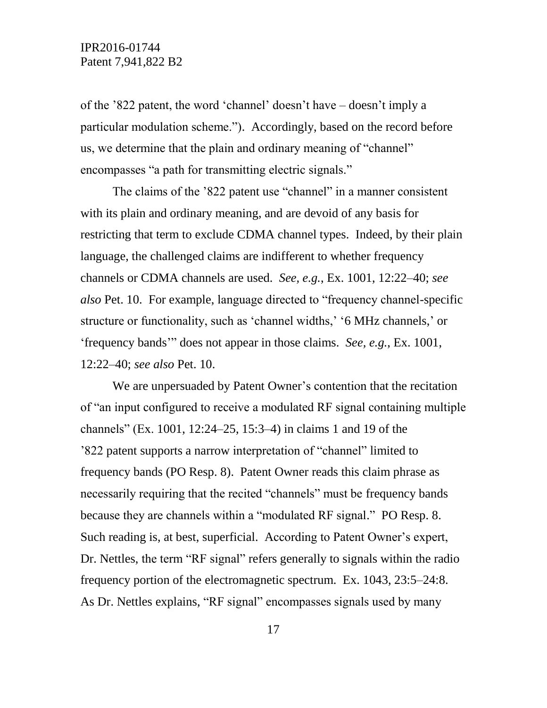of the '822 patent, the word 'channel' doesn't have – doesn't imply a particular modulation scheme."). Accordingly, based on the record before us, we determine that the plain and ordinary meaning of "channel" encompasses "a path for transmitting electric signals."

The claims of the '822 patent use "channel" in a manner consistent with its plain and ordinary meaning, and are devoid of any basis for restricting that term to exclude CDMA channel types. Indeed, by their plain language, the challenged claims are indifferent to whether frequency channels or CDMA channels are used. *See, e.g.*, Ex. 1001, 12:22–40; *see also* Pet. 10. For example, language directed to "frequency channel-specific structure or functionality, such as 'channel widths,' '6 MHz channels,' or 'frequency bands'" does not appear in those claims. *See, e.g.*, Ex. 1001, 12:22–40; *see also* Pet. 10.

We are unpersuaded by Patent Owner's contention that the recitation of "an input configured to receive a modulated RF signal containing multiple channels" (Ex. 1001, 12:24–25, 15:3–4) in claims 1 and 19 of the '822 patent supports a narrow interpretation of "channel" limited to frequency bands (PO Resp. 8). Patent Owner reads this claim phrase as necessarily requiring that the recited "channels" must be frequency bands because they are channels within a "modulated RF signal." PO Resp. 8. Such reading is, at best, superficial. According to Patent Owner's expert, Dr. Nettles, the term "RF signal" refers generally to signals within the radio frequency portion of the electromagnetic spectrum. Ex. 1043, 23:5–24:8. As Dr. Nettles explains, "RF signal" encompasses signals used by many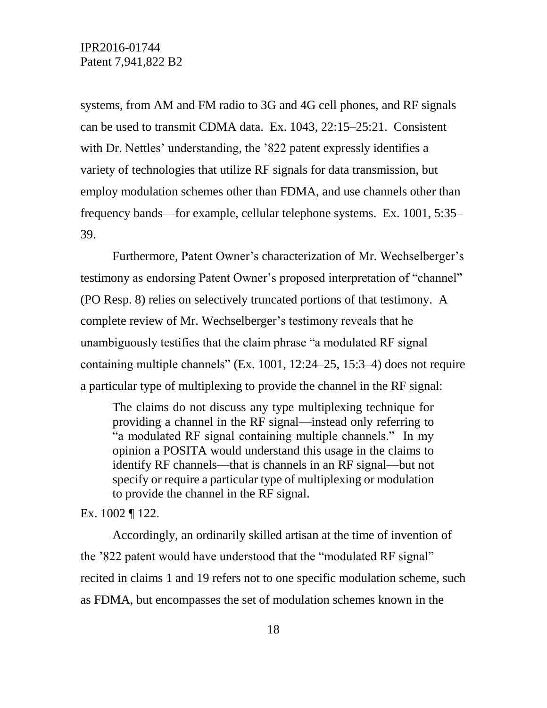systems, from AM and FM radio to 3G and 4G cell phones, and RF signals can be used to transmit CDMA data. Ex. 1043, 22:15–25:21. Consistent with Dr. Nettles' understanding, the '822 patent expressly identifies a variety of technologies that utilize RF signals for data transmission, but employ modulation schemes other than FDMA, and use channels other than frequency bands––for example, cellular telephone systems. Ex. 1001, 5:35– 39.

Furthermore, Patent Owner's characterization of Mr. Wechselberger's testimony as endorsing Patent Owner's proposed interpretation of "channel" (PO Resp. 8) relies on selectively truncated portions of that testimony. A complete review of Mr. Wechselberger's testimony reveals that he unambiguously testifies that the claim phrase "a modulated RF signal containing multiple channels" (Ex. 1001, 12:24–25, 15:3–4) does not require a particular type of multiplexing to provide the channel in the RF signal:

The claims do not discuss any type multiplexing technique for providing a channel in the RF signal—instead only referring to "a modulated RF signal containing multiple channels." In my opinion a POSITA would understand this usage in the claims to identify RF channels—that is channels in an RF signal—but not specify or require a particular type of multiplexing or modulation to provide the channel in the RF signal.

Ex. 1002 ¶ 122.

Accordingly, an ordinarily skilled artisan at the time of invention of the '822 patent would have understood that the "modulated RF signal" recited in claims 1 and 19 refers not to one specific modulation scheme, such as FDMA, but encompasses the set of modulation schemes known in the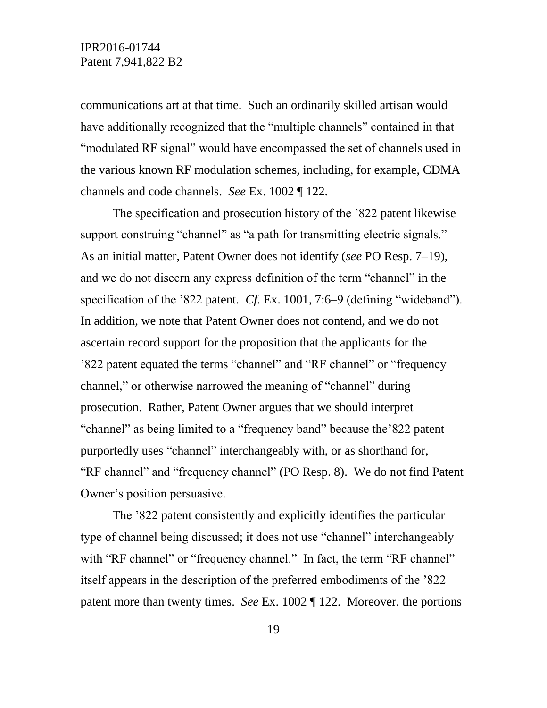communications art at that time. Such an ordinarily skilled artisan would have additionally recognized that the "multiple channels" contained in that "modulated RF signal" would have encompassed the set of channels used in the various known RF modulation schemes, including, for example, CDMA channels and code channels. *See* Ex. 1002 ¶ 122.

The specification and prosecution history of the '822 patent likewise support construing "channel" as "a path for transmitting electric signals." As an initial matter, Patent Owner does not identify (*see* PO Resp. 7–19), and we do not discern any express definition of the term "channel" in the specification of the '822 patent. *Cf.* Ex. 1001, 7:6–9 (defining "wideband"). In addition, we note that Patent Owner does not contend, and we do not ascertain record support for the proposition that the applicants for the '822 patent equated the terms "channel" and "RF channel" or "frequency channel," or otherwise narrowed the meaning of "channel" during prosecution. Rather, Patent Owner argues that we should interpret "channel" as being limited to a "frequency band" because the'822 patent purportedly uses "channel" interchangeably with, or as shorthand for, "RF channel" and "frequency channel" (PO Resp. 8). We do not find Patent Owner's position persuasive.

The '822 patent consistently and explicitly identifies the particular type of channel being discussed; it does not use "channel" interchangeably with "RF channel" or "frequency channel." In fact, the term "RF channel" itself appears in the description of the preferred embodiments of the '822 patent more than twenty times. *See* Ex. 1002 ¶ 122. Moreover, the portions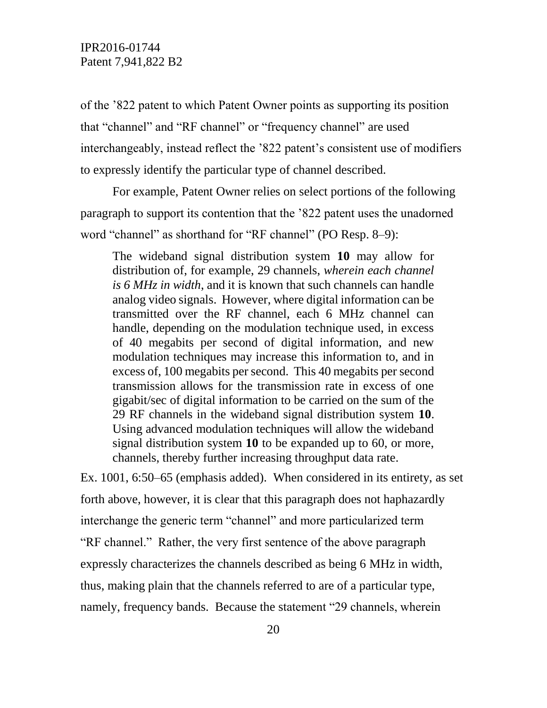of the '822 patent to which Patent Owner points as supporting its position that "channel" and "RF channel" or "frequency channel" are used interchangeably, instead reflect the '822 patent's consistent use of modifiers to expressly identify the particular type of channel described.

For example, Patent Owner relies on select portions of the following paragraph to support its contention that the '822 patent uses the unadorned word "channel" as shorthand for "RF channel" (PO Resp. 8–9):

The wideband signal distribution system **10** may allow for distribution of, for example, 29 channels, *wherein each channel is 6 MHz in width*, and it is known that such channels can handle analog video signals. However, where digital information can be transmitted over the RF channel, each 6 MHz channel can handle, depending on the modulation technique used, in excess of 40 megabits per second of digital information, and new modulation techniques may increase this information to, and in excess of, 100 megabits per second. This 40 megabits per second transmission allows for the transmission rate in excess of one gigabit/sec of digital information to be carried on the sum of the 29 RF channels in the wideband signal distribution system **10**. Using advanced modulation techniques will allow the wideband signal distribution system **10** to be expanded up to 60, or more, channels, thereby further increasing throughput data rate.

Ex. 1001, 6:50–65 (emphasis added). When considered in its entirety, as set forth above, however, it is clear that this paragraph does not haphazardly interchange the generic term "channel" and more particularized term "RF channel." Rather, the very first sentence of the above paragraph expressly characterizes the channels described as being 6 MHz in width, thus, making plain that the channels referred to are of a particular type, namely, frequency bands. Because the statement "29 channels, wherein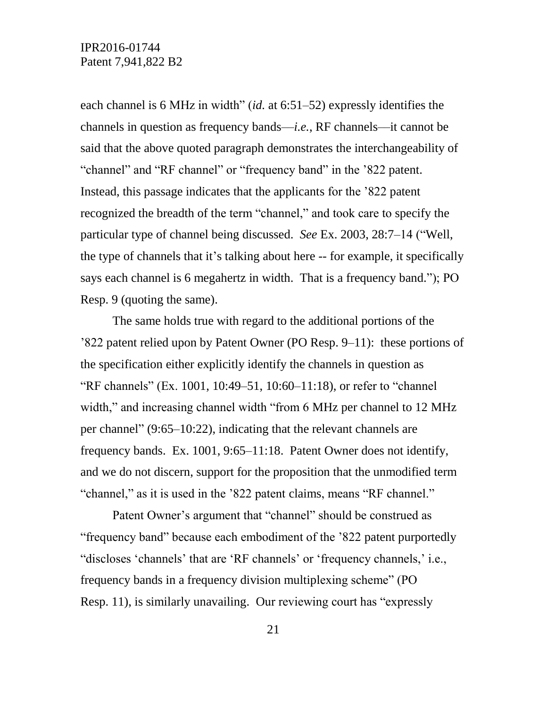each channel is 6 MHz in width" (*id.* at 6:51–52) expressly identifies the channels in question as frequency bands––*i.e.*, RF channels––it cannot be said that the above quoted paragraph demonstrates the interchangeability of "channel" and "RF channel" or "frequency band" in the '822 patent. Instead, this passage indicates that the applicants for the '822 patent recognized the breadth of the term "channel," and took care to specify the particular type of channel being discussed. *See* Ex. 2003, 28:7–14 ("Well, the type of channels that it's talking about here -- for example, it specifically says each channel is 6 megahertz in width. That is a frequency band."); PO Resp. 9 (quoting the same).

The same holds true with regard to the additional portions of the '822 patent relied upon by Patent Owner (PO Resp. 9–11): these portions of the specification either explicitly identify the channels in question as "RF channels" (Ex. 1001, 10:49–51, 10:60–11:18), or refer to "channel width," and increasing channel width "from 6 MHz per channel to 12 MHz per channel" (9:65–10:22), indicating that the relevant channels are frequency bands. Ex. 1001, 9:65–11:18. Patent Owner does not identify, and we do not discern, support for the proposition that the unmodified term "channel," as it is used in the '822 patent claims, means "RF channel."

Patent Owner's argument that "channel" should be construed as "frequency band" because each embodiment of the '822 patent purportedly "discloses 'channels' that are 'RF channels' or 'frequency channels,' i.e., frequency bands in a frequency division multiplexing scheme" (PO Resp. 11), is similarly unavailing. Our reviewing court has "expressly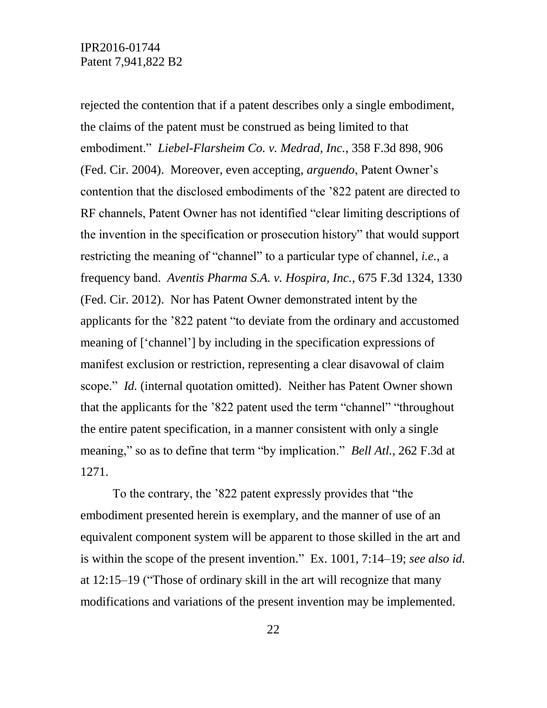rejected the contention that if a patent describes only a single embodiment, the claims of the patent must be construed as being limited to that embodiment." *Liebel-Flarsheim Co. v. Medrad, Inc.*, 358 F.3d 898, 906 (Fed. Cir. 2004). Moreover, even accepting, *arguendo*, Patent Owner's contention that the disclosed embodiments of the '822 patent are directed to RF channels, Patent Owner has not identified "clear limiting descriptions of the invention in the specification or prosecution history" that would support restricting the meaning of "channel" to a particular type of channel, *i.e.*, a frequency band. *Aventis Pharma S.A. v. Hospira, Inc.*, 675 F.3d 1324, 1330 (Fed. Cir. 2012). Nor has Patent Owner demonstrated intent by the applicants for the '822 patent "to deviate from the ordinary and accustomed meaning of ['channel'] by including in the specification expressions of manifest exclusion or restriction, representing a clear disavowal of claim scope." *Id.* (internal quotation omitted). Neither has Patent Owner shown that the applicants for the '822 patent used the term "channel" "throughout the entire patent specification, in a manner consistent with only a single meaning," so as to define that term "by implication." *Bell Atl.*, 262 F.3d at 1271.

To the contrary, the '822 patent expressly provides that "the embodiment presented herein is exemplary, and the manner of use of an equivalent component system will be apparent to those skilled in the art and is within the scope of the present invention." Ex. 1001, 7:14–19; *see also id.* at 12:15–19 ("Those of ordinary skill in the art will recognize that many modifications and variations of the present invention may be implemented.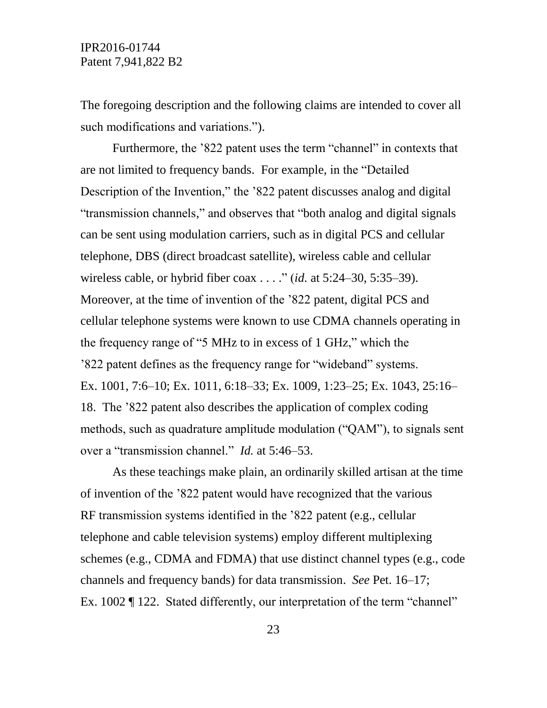The foregoing description and the following claims are intended to cover all such modifications and variations.").

Furthermore, the '822 patent uses the term "channel" in contexts that are not limited to frequency bands. For example, in the "Detailed Description of the Invention," the '822 patent discusses analog and digital "transmission channels," and observes that "both analog and digital signals can be sent using modulation carriers, such as in digital PCS and cellular telephone, DBS (direct broadcast satellite), wireless cable and cellular wireless cable, or hybrid fiber coax . . . ." (*id.* at 5:24–30, 5:35–39). Moreover, at the time of invention of the '822 patent, digital PCS and cellular telephone systems were known to use CDMA channels operating in the frequency range of "5 MHz to in excess of 1 GHz," which the '822 patent defines as the frequency range for "wideband" systems. Ex. 1001, 7:6–10; Ex. 1011, 6:18–33; Ex. 1009, 1:23–25; Ex. 1043, 25:16– 18. The '822 patent also describes the application of complex coding methods, such as quadrature amplitude modulation ("QAM"), to signals sent over a "transmission channel." *Id.* at 5:46–53.

As these teachings make plain, an ordinarily skilled artisan at the time of invention of the '822 patent would have recognized that the various RF transmission systems identified in the '822 patent (e.g., cellular telephone and cable television systems) employ different multiplexing schemes (e.g., CDMA and FDMA) that use distinct channel types (e.g., code channels and frequency bands) for data transmission. *See* Pet. 16–17; Ex. 1002 ¶ 122. Stated differently, our interpretation of the term "channel"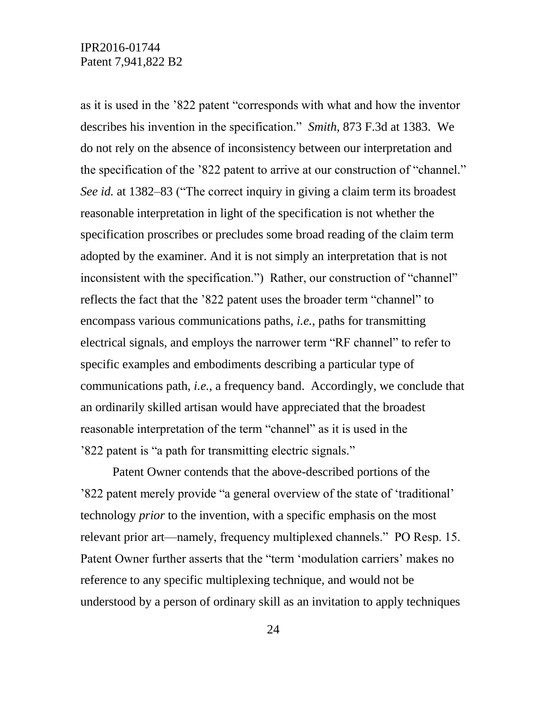as it is used in the '822 patent "corresponds with what and how the inventor describes his invention in the specification." *Smith*, 873 F.3d at 1383. We do not rely on the absence of inconsistency between our interpretation and the specification of the '822 patent to arrive at our construction of "channel." *See id.* at 1382–83 ("The correct inquiry in giving a claim term its broadest reasonable interpretation in light of the specification is not whether the specification proscribes or precludes some broad reading of the claim term adopted by the examiner. And it is not simply an interpretation that is not inconsistent with the specification.") Rather, our construction of "channel" reflects the fact that the '822 patent uses the broader term "channel" to encompass various communications paths, *i.e.*, paths for transmitting electrical signals, and employs the narrower term "RF channel" to refer to specific examples and embodiments describing a particular type of communications path, *i.e.*, a frequency band. Accordingly, we conclude that an ordinarily skilled artisan would have appreciated that the broadest reasonable interpretation of the term "channel" as it is used in the '822 patent is "a path for transmitting electric signals."

Patent Owner contends that the above-described portions of the '822 patent merely provide "a general overview of the state of 'traditional' technology *prior* to the invention, with a specific emphasis on the most relevant prior art—namely, frequency multiplexed channels." PO Resp. 15. Patent Owner further asserts that the "term 'modulation carriers' makes no reference to any specific multiplexing technique, and would not be understood by a person of ordinary skill as an invitation to apply techniques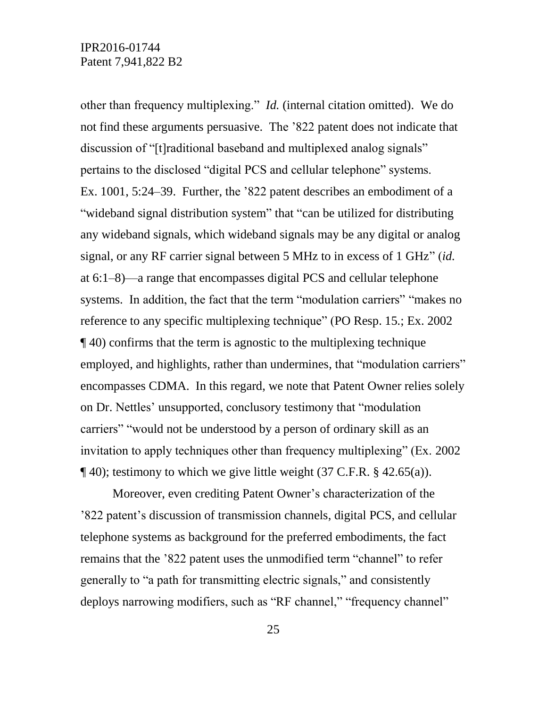other than frequency multiplexing." *Id.* (internal citation omitted). We do not find these arguments persuasive. The '822 patent does not indicate that discussion of "[t]raditional baseband and multiplexed analog signals" pertains to the disclosed "digital PCS and cellular telephone" systems. Ex. 1001, 5:24–39. Further, the '822 patent describes an embodiment of a "wideband signal distribution system" that "can be utilized for distributing any wideband signals, which wideband signals may be any digital or analog signal, or any RF carrier signal between 5 MHz to in excess of 1 GHz" (*id.* at 6:1–8)––a range that encompasses digital PCS and cellular telephone systems. In addition, the fact that the term "modulation carriers" "makes no reference to any specific multiplexing technique" (PO Resp. 15*.*; Ex. 2002 ¶ 40) confirms that the term is agnostic to the multiplexing technique employed, and highlights, rather than undermines, that "modulation carriers" encompasses CDMA. In this regard, we note that Patent Owner relies solely on Dr. Nettles' unsupported, conclusory testimony that "modulation carriers" "would not be understood by a person of ordinary skill as an invitation to apply techniques other than frequency multiplexing" (Ex. 2002  $\P$  40); testimony to which we give little weight (37 C.F.R. § 42.65(a)).

Moreover, even crediting Patent Owner's characterization of the '822 patent's discussion of transmission channels, digital PCS, and cellular telephone systems as background for the preferred embodiments, the fact remains that the '822 patent uses the unmodified term "channel" to refer generally to "a path for transmitting electric signals," and consistently deploys narrowing modifiers, such as "RF channel," "frequency channel"

25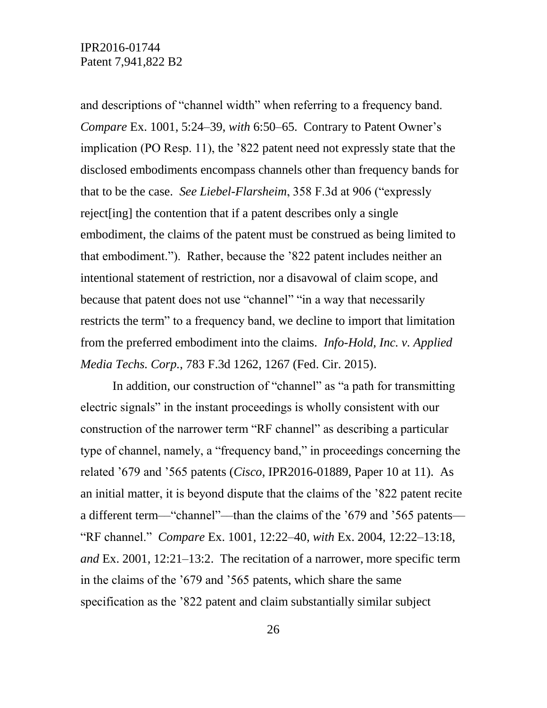and descriptions of "channel width" when referring to a frequency band. *Compare* Ex. 1001, 5:24–39, *with* 6:50–65. Contrary to Patent Owner's implication (PO Resp. 11), the '822 patent need not expressly state that the disclosed embodiments encompass channels other than frequency bands for that to be the case. *See Liebel-Flarsheim*, 358 F.3d at 906 ("expressly reject[ing] the contention that if a patent describes only a single embodiment, the claims of the patent must be construed as being limited to that embodiment."). Rather, because the '822 patent includes neither an intentional statement of restriction, nor a disavowal of claim scope, and because that patent does not use "channel" "in a way that necessarily restricts the term" to a frequency band, we decline to import that limitation from the preferred embodiment into the claims. *Info-Hold, Inc. v. Applied Media Techs. Corp.*, 783 F.3d 1262, 1267 (Fed. Cir. 2015).

In addition, our construction of "channel" as "a path for transmitting electric signals" in the instant proceedings is wholly consistent with our construction of the narrower term "RF channel" as describing a particular type of channel, namely, a "frequency band," in proceedings concerning the related '679 and '565 patents (*Cisco*, IPR2016-01889, Paper 10 at 11). As an initial matter, it is beyond dispute that the claims of the '822 patent recite a different term—"channel"—than the claims of the '679 and '565 patents— "RF channel." *Compare* Ex. 1001, 12:22–40, *with* Ex. 2004, 12:22–13:18, *and* Ex. 2001, 12:21–13:2. The recitation of a narrower, more specific term in the claims of the '679 and '565 patents, which share the same specification as the '822 patent and claim substantially similar subject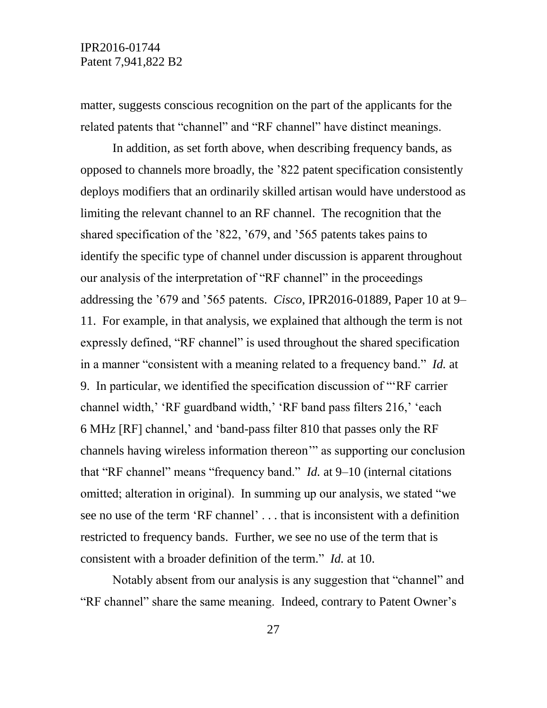matter, suggests conscious recognition on the part of the applicants for the related patents that "channel" and "RF channel" have distinct meanings.

In addition, as set forth above, when describing frequency bands, as opposed to channels more broadly, the '822 patent specification consistently deploys modifiers that an ordinarily skilled artisan would have understood as limiting the relevant channel to an RF channel. The recognition that the shared specification of the '822, '679, and '565 patents takes pains to identify the specific type of channel under discussion is apparent throughout our analysis of the interpretation of "RF channel" in the proceedings addressing the '679 and '565 patents. *Cisco*, IPR2016-01889, Paper 10 at 9– 11. For example, in that analysis, we explained that although the term is not expressly defined, "RF channel" is used throughout the shared specification in a manner "consistent with a meaning related to a frequency band." *Id.* at 9. In particular, we identified the specification discussion of "'RF carrier channel width,' 'RF guardband width,' 'RF band pass filters 216,' 'each 6 MHz [RF] channel,' and 'band-pass filter 810 that passes only the RF channels having wireless information thereon'" as supporting our conclusion that "RF channel" means "frequency band." *Id.* at 9–10 (internal citations omitted; alteration in original). In summing up our analysis, we stated "we see no use of the term 'RF channel' . . . that is inconsistent with a definition restricted to frequency bands. Further, we see no use of the term that is consistent with a broader definition of the term." *Id.* at 10.

Notably absent from our analysis is any suggestion that "channel" and "RF channel" share the same meaning. Indeed, contrary to Patent Owner's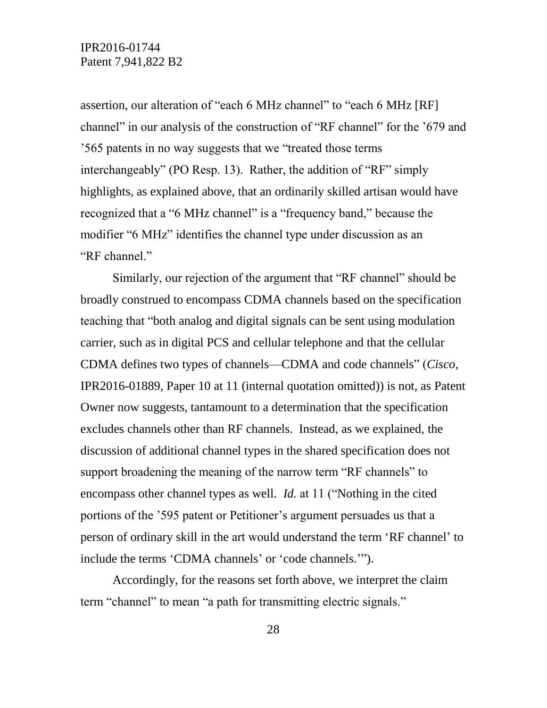assertion, our alteration of "each 6 MHz channel" to "each 6 MHz [RF] channel" in our analysis of the construction of "RF channel" for the '679 and '565 patents in no way suggests that we "treated those terms interchangeably" (PO Resp. 13). Rather, the addition of "RF" simply highlights, as explained above, that an ordinarily skilled artisan would have recognized that a "6 MHz channel" is a "frequency band," because the modifier "6 MHz" identifies the channel type under discussion as an "RF channel."

Similarly, our rejection of the argument that "RF channel" should be broadly construed to encompass CDMA channels based on the specification teaching that "both analog and digital signals can be sent using modulation carrier, such as in digital PCS and cellular telephone and that the cellular CDMA defines two types of channels—CDMA and code channels" (*Cisco*, IPR2016-01889, Paper 10 at 11 (internal quotation omitted)) is not, as Patent Owner now suggests, tantamount to a determination that the specification excludes channels other than RF channels. Instead, as we explained, the discussion of additional channel types in the shared specification does not support broadening the meaning of the narrow term "RF channels" to encompass other channel types as well. *Id.* at 11 ("Nothing in the cited portions of the '595 patent or Petitioner's argument persuades us that a person of ordinary skill in the art would understand the term 'RF channel' to include the terms 'CDMA channels' or 'code channels.'").

Accordingly, for the reasons set forth above, we interpret the claim term "channel" to mean "a path for transmitting electric signals."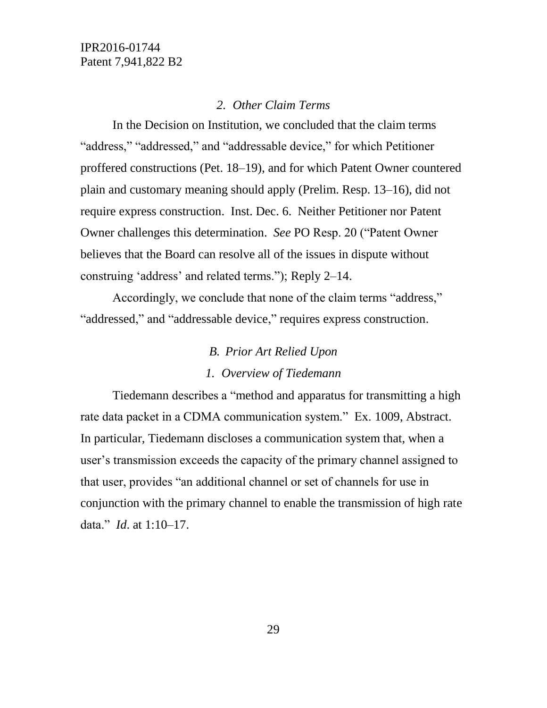#### *2. Other Claim Terms*

In the Decision on Institution, we concluded that the claim terms "address," "addressed," and "addressable device," for which Petitioner proffered constructions (Pet. 18–19), and for which Patent Owner countered plain and customary meaning should apply (Prelim. Resp. 13–16), did not require express construction. Inst. Dec. 6. Neither Petitioner nor Patent Owner challenges this determination. *See* PO Resp. 20 ("Patent Owner believes that the Board can resolve all of the issues in dispute without construing 'address' and related terms."); Reply 2–14.

Accordingly, we conclude that none of the claim terms "address," "addressed," and "addressable device," requires express construction.

# *B. Prior Art Relied Upon*

#### *1. Overview of Tiedemann*

Tiedemann describes a "method and apparatus for transmitting a high rate data packet in a CDMA communication system." Ex. 1009, Abstract. In particular, Tiedemann discloses a communication system that, when a user's transmission exceeds the capacity of the primary channel assigned to that user, provides "an additional channel or set of channels for use in conjunction with the primary channel to enable the transmission of high rate data." *Id*. at 1:10–17.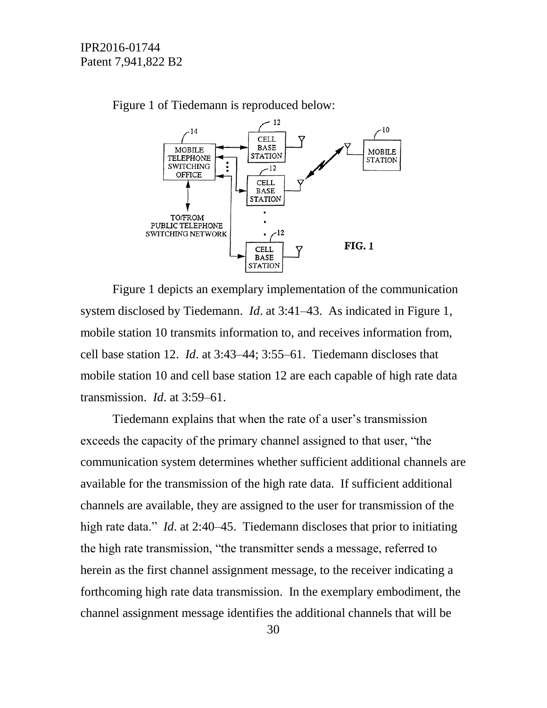![](_page_29_Figure_1.jpeg)

Figure 1 of Tiedemann is reproduced below:

Figure 1 depicts an exemplary implementation of the communication system disclosed by Tiedemann. *Id*. at 3:41–43. As indicated in Figure 1, mobile station 10 transmits information to, and receives information from, cell base station 12. *Id*. at 3:43–44; 3:55–61. Tiedemann discloses that mobile station 10 and cell base station 12 are each capable of high rate data transmission. *Id*. at 3:59–61.

Tiedemann explains that when the rate of a user's transmission exceeds the capacity of the primary channel assigned to that user, "the communication system determines whether sufficient additional channels are available for the transmission of the high rate data. If sufficient additional channels are available, they are assigned to the user for transmission of the high rate data." *Id.* at 2:40–45. Tiedemann discloses that prior to initiating the high rate transmission, "the transmitter sends a message, referred to herein as the first channel assignment message, to the receiver indicating a forthcoming high rate data transmission. In the exemplary embodiment, the channel assignment message identifies the additional channels that will be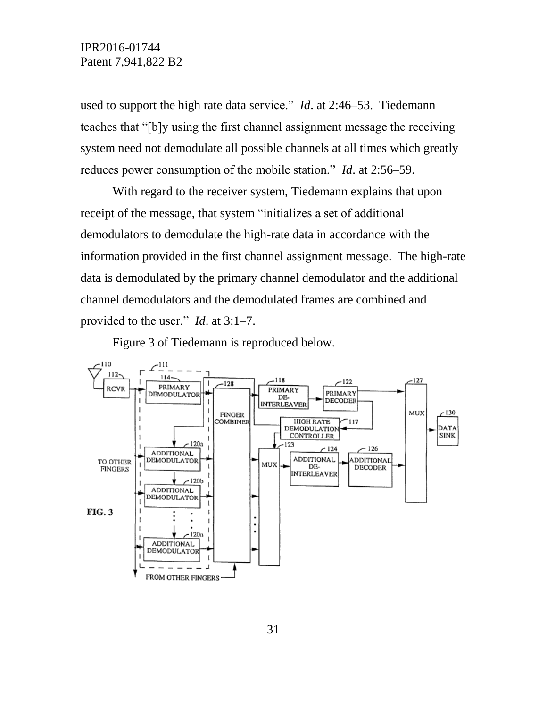used to support the high rate data service." *Id*. at 2:46–53. Tiedemann teaches that "[b]y using the first channel assignment message the receiving system need not demodulate all possible channels at all times which greatly reduces power consumption of the mobile station." *Id*. at 2:56–59.

With regard to the receiver system, Tiedemann explains that upon receipt of the message, that system "initializes a set of additional demodulators to demodulate the high-rate data in accordance with the information provided in the first channel assignment message. The high-rate data is demodulated by the primary channel demodulator and the additional channel demodulators and the demodulated frames are combined and provided to the user." *Id*. at 3:1–7.

Figure 3 of Tiedemann is reproduced below.

![](_page_30_Figure_4.jpeg)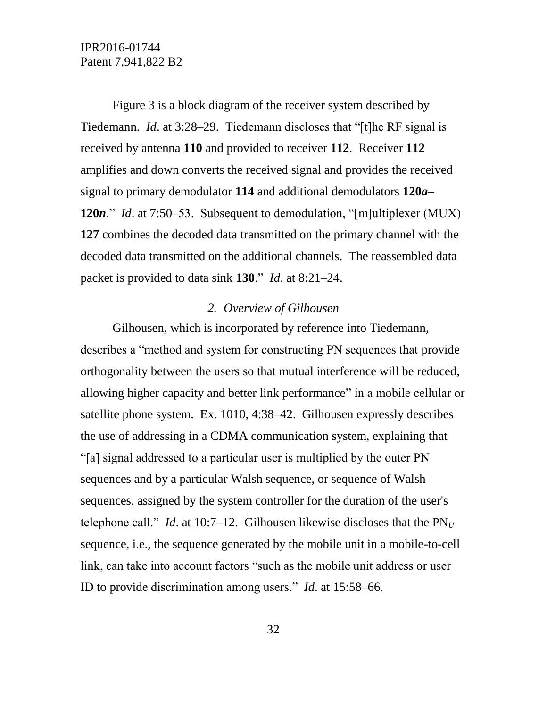Figure 3 is a block diagram of the receiver system described by Tiedemann. *Id*. at 3:28–29. Tiedemann discloses that "[t]he RF signal is received by antenna **110** and provided to receiver **112**. Receiver **112** amplifies and down converts the received signal and provides the received signal to primary demodulator **114** and additional demodulators **120***a***– 120***n*." *Id*. at 7:50–53. Subsequent to demodulation, "[m]ultiplexer (MUX) **127** combines the decoded data transmitted on the primary channel with the decoded data transmitted on the additional channels. The reassembled data packet is provided to data sink **130**." *Id*. at 8:21–24.

#### *2. Overview of Gilhousen*

Gilhousen, which is incorporated by reference into Tiedemann, describes a "method and system for constructing PN sequences that provide orthogonality between the users so that mutual interference will be reduced, allowing higher capacity and better link performance" in a mobile cellular or satellite phone system. Ex. 1010, 4:38–42. Gilhousen expressly describes the use of addressing in a CDMA communication system, explaining that "[a] signal addressed to a particular user is multiplied by the outer PN sequences and by a particular Walsh sequence, or sequence of Walsh sequences, assigned by the system controller for the duration of the user's telephone call." *Id.* at 10:7–12. Gilhousen likewise discloses that the  $PN_U$ sequence, i.e., the sequence generated by the mobile unit in a mobile-to-cell link, can take into account factors "such as the mobile unit address or user ID to provide discrimination among users." *Id*. at 15:58–66.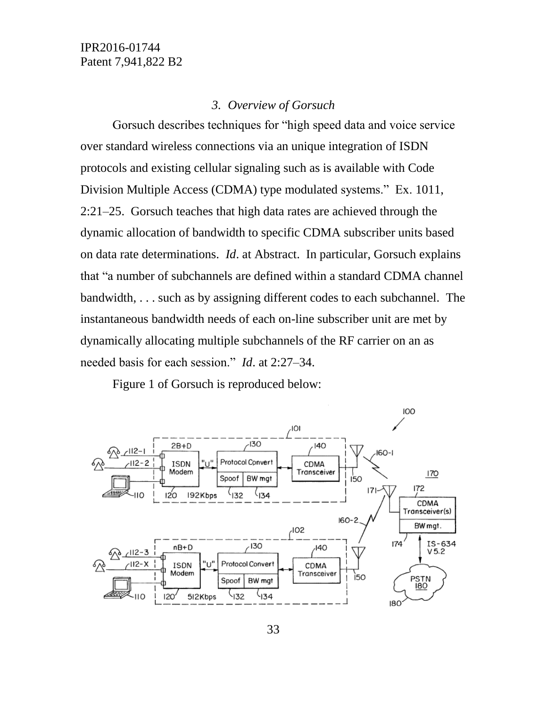#### *3. Overview of Gorsuch*

Gorsuch describes techniques for "high speed data and voice service over standard wireless connections via an unique integration of ISDN protocols and existing cellular signaling such as is available with Code Division Multiple Access (CDMA) type modulated systems." Ex. 1011, 2:21–25. Gorsuch teaches that high data rates are achieved through the dynamic allocation of bandwidth to specific CDMA subscriber units based on data rate determinations. *Id*. at Abstract. In particular, Gorsuch explains that "a number of subchannels are defined within a standard CDMA channel bandwidth, . . . such as by assigning different codes to each subchannel. The instantaneous bandwidth needs of each on-line subscriber unit are met by dynamically allocating multiple subchannels of the RF carrier on an as needed basis for each session." *Id*. at 2:27–34.

Figure 1 of Gorsuch is reproduced below:

![](_page_32_Figure_4.jpeg)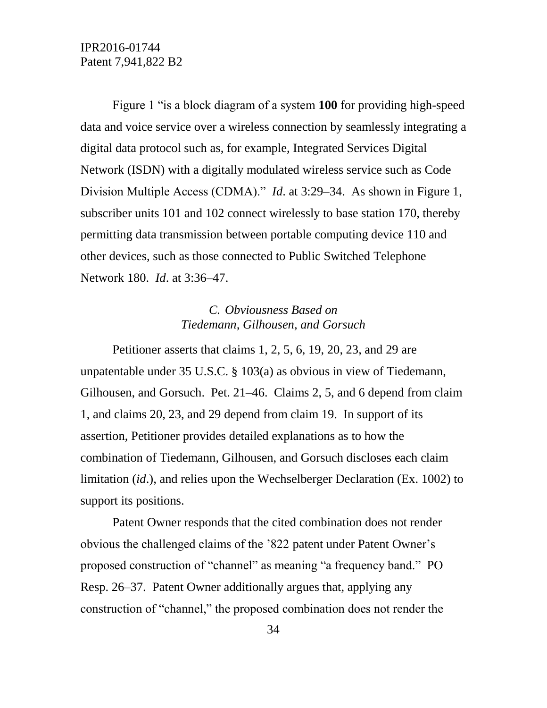Figure 1 "is a block diagram of a system **100** for providing high-speed data and voice service over a wireless connection by seamlessly integrating a digital data protocol such as, for example, Integrated Services Digital Network (ISDN) with a digitally modulated wireless service such as Code Division Multiple Access (CDMA)." *Id*. at 3:29–34. As shown in Figure 1, subscriber units 101 and 102 connect wirelessly to base station 170, thereby permitting data transmission between portable computing device 110 and other devices, such as those connected to Public Switched Telephone Network 180. *Id*. at 3:36–47.

### *C. Obviousness Based on Tiedemann, Gilhousen, and Gorsuch*

Petitioner asserts that claims 1, 2, 5, 6, 19, 20, 23, and 29 are unpatentable under 35 U.S.C. § 103(a) as obvious in view of Tiedemann, Gilhousen, and Gorsuch. Pet. 21–46. Claims 2, 5, and 6 depend from claim 1, and claims 20, 23, and 29 depend from claim 19. In support of its assertion, Petitioner provides detailed explanations as to how the combination of Tiedemann, Gilhousen, and Gorsuch discloses each claim limitation (*id*.), and relies upon the Wechselberger Declaration (Ex. 1002) to support its positions.

Patent Owner responds that the cited combination does not render obvious the challenged claims of the '822 patent under Patent Owner's proposed construction of "channel" as meaning "a frequency band." PO Resp. 26–37. Patent Owner additionally argues that, applying any construction of "channel," the proposed combination does not render the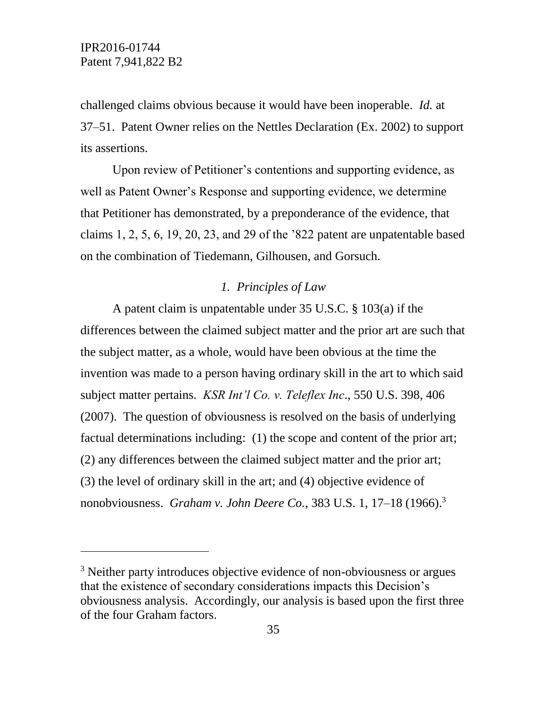l

challenged claims obvious because it would have been inoperable. *Id.* at 37–51. Patent Owner relies on the Nettles Declaration (Ex. 2002) to support its assertions.

Upon review of Petitioner's contentions and supporting evidence, as well as Patent Owner's Response and supporting evidence, we determine that Petitioner has demonstrated, by a preponderance of the evidence, that claims 1, 2, 5, 6, 19, 20, 23, and 29 of the '822 patent are unpatentable based on the combination of Tiedemann, Gilhousen, and Gorsuch.

### *1. Principles of Law*

A patent claim is unpatentable under 35 U.S.C. § 103(a) if the differences between the claimed subject matter and the prior art are such that the subject matter, as a whole, would have been obvious at the time the invention was made to a person having ordinary skill in the art to which said subject matter pertains. *KSR Int'l Co. v. Teleflex Inc*., 550 U.S. 398, 406 (2007). The question of obviousness is resolved on the basis of underlying factual determinations including: (1) the scope and content of the prior art; (2) any differences between the claimed subject matter and the prior art; (3) the level of ordinary skill in the art; and (4) objective evidence of nonobviousness. *Graham v. John Deere Co.*, 383 U.S. 1, 17–18 (1966).<sup>3</sup>

<sup>&</sup>lt;sup>3</sup> Neither party introduces objective evidence of non-obviousness or argues that the existence of secondary considerations impacts this Decision's obviousness analysis. Accordingly, our analysis is based upon the first three of the four Graham factors.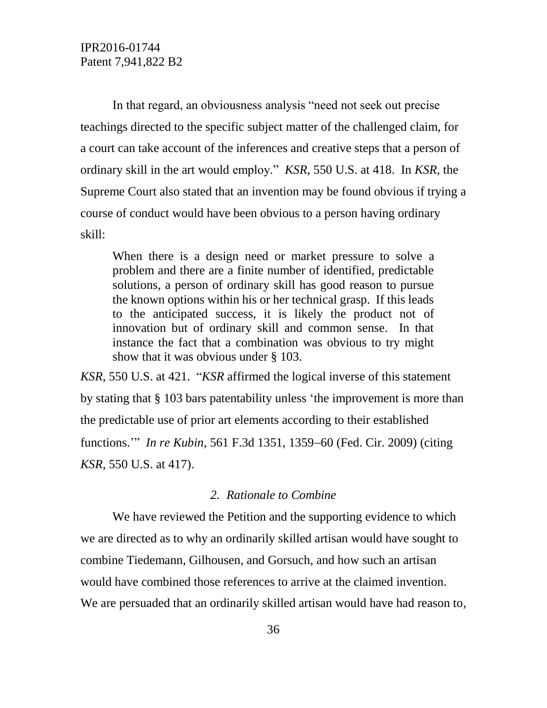In that regard, an obviousness analysis "need not seek out precise teachings directed to the specific subject matter of the challenged claim, for a court can take account of the inferences and creative steps that a person of ordinary skill in the art would employ." *KSR*, 550 U.S. at 418. In *KSR*, the Supreme Court also stated that an invention may be found obvious if trying a course of conduct would have been obvious to a person having ordinary skill:

When there is a design need or market pressure to solve a problem and there are a finite number of identified, predictable solutions, a person of ordinary skill has good reason to pursue the known options within his or her technical grasp. If this leads to the anticipated success, it is likely the product not of innovation but of ordinary skill and common sense. In that instance the fact that a combination was obvious to try might show that it was obvious under § 103.

*KSR*, 550 U.S. at 421. "*KSR* affirmed the logical inverse of this statement by stating that § 103 bars patentability unless 'the improvement is more than the predictable use of prior art elements according to their established functions." *In re Kubin*, 561 F.3d 1351, 1359–60 (Fed. Cir. 2009) (citing *KSR*, 550 U.S. at 417).

#### *2. Rationale to Combine*

We have reviewed the Petition and the supporting evidence to which we are directed as to why an ordinarily skilled artisan would have sought to combine Tiedemann, Gilhousen, and Gorsuch, and how such an artisan would have combined those references to arrive at the claimed invention. We are persuaded that an ordinarily skilled artisan would have had reason to,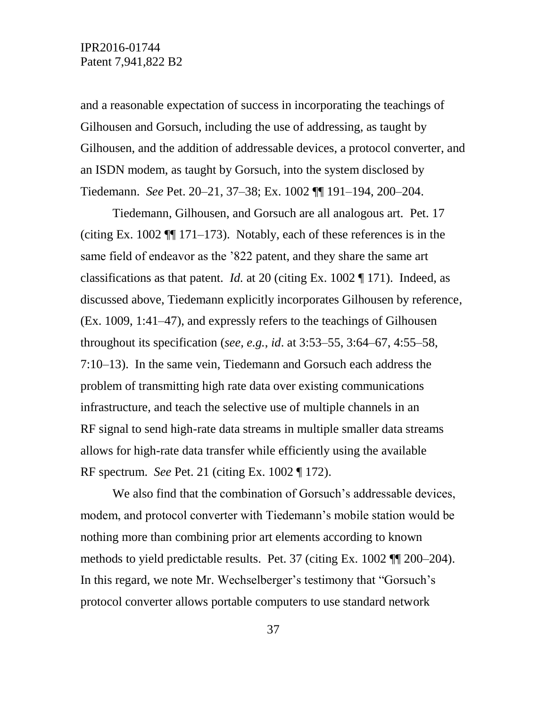and a reasonable expectation of success in incorporating the teachings of Gilhousen and Gorsuch, including the use of addressing, as taught by Gilhousen, and the addition of addressable devices, a protocol converter, and an ISDN modem, as taught by Gorsuch, into the system disclosed by Tiedemann. *See* Pet. 20–21, 37–38; Ex. 1002 ¶¶ 191–194, 200–204.

Tiedemann, Gilhousen, and Gorsuch are all analogous art. Pet. 17 (citing Ex. 1002  $\P$  171–173). Notably, each of these references is in the same field of endeavor as the '822 patent, and they share the same art classifications as that patent. *Id.* at 20 (citing Ex. 1002 ¶ 171). Indeed, as discussed above, Tiedemann explicitly incorporates Gilhousen by reference, (Ex. 1009, 1:41–47), and expressly refers to the teachings of Gilhousen throughout its specification (*see, e.g.*, *id*. at 3:53–55, 3:64–67, 4:55–58, 7:10–13). In the same vein, Tiedemann and Gorsuch each address the problem of transmitting high rate data over existing communications infrastructure, and teach the selective use of multiple channels in an RF signal to send high-rate data streams in multiple smaller data streams allows for high-rate data transfer while efficiently using the available RF spectrum. *See* Pet. 21 (citing Ex. 1002 ¶ 172).

We also find that the combination of Gorsuch's addressable devices, modem, and protocol converter with Tiedemann's mobile station would be nothing more than combining prior art elements according to known methods to yield predictable results. Pet. 37 (citing Ex. 1002 ¶¶ 200–204). In this regard, we note Mr. Wechselberger's testimony that "Gorsuch's protocol converter allows portable computers to use standard network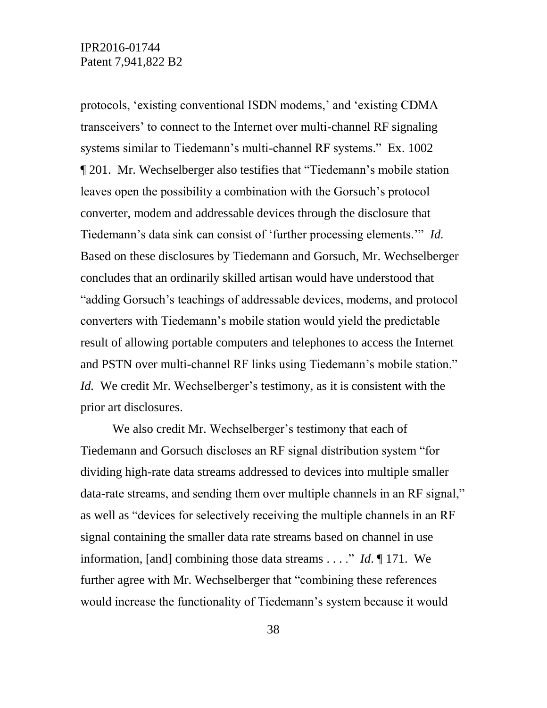protocols, 'existing conventional ISDN modems,' and 'existing CDMA transceivers' to connect to the Internet over multi-channel RF signaling systems similar to Tiedemann's multi-channel RF systems." Ex. 1002 ¶ 201. Mr. Wechselberger also testifies that "Tiedemann's mobile station leaves open the possibility a combination with the Gorsuch's protocol converter, modem and addressable devices through the disclosure that Tiedemann's data sink can consist of 'further processing elements.'" *Id.* Based on these disclosures by Tiedemann and Gorsuch, Mr. Wechselberger concludes that an ordinarily skilled artisan would have understood that "adding Gorsuch's teachings of addressable devices, modems, and protocol converters with Tiedemann's mobile station would yield the predictable result of allowing portable computers and telephones to access the Internet and PSTN over multi-channel RF links using Tiedemann's mobile station." *Id.* We credit Mr. Wechselberger's testimony, as it is consistent with the prior art disclosures.

We also credit Mr. Wechselberger's testimony that each of Tiedemann and Gorsuch discloses an RF signal distribution system "for dividing high-rate data streams addressed to devices into multiple smaller data-rate streams, and sending them over multiple channels in an RF signal," as well as "devices for selectively receiving the multiple channels in an RF signal containing the smaller data rate streams based on channel in use information, [and] combining those data streams . . . ." *Id*. ¶ 171. We further agree with Mr. Wechselberger that "combining these references would increase the functionality of Tiedemann's system because it would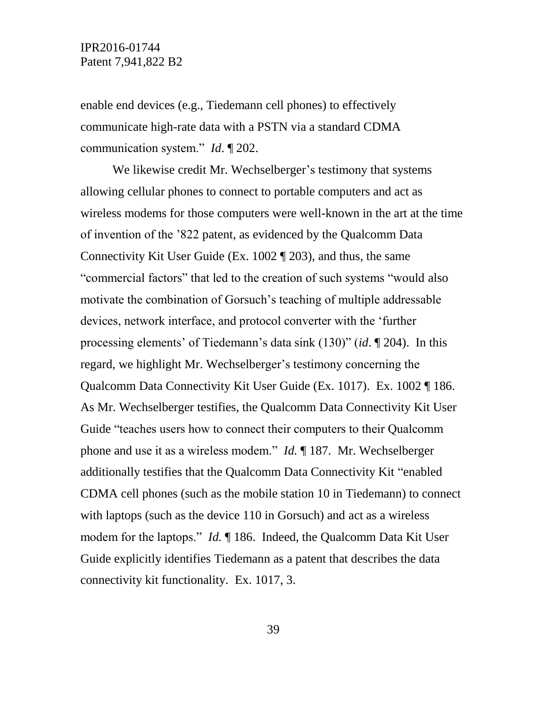enable end devices (e.g., Tiedemann cell phones) to effectively communicate high-rate data with a PSTN via a standard CDMA communication system." *Id*. ¶ 202.

We likewise credit Mr. Wechselberger's testimony that systems allowing cellular phones to connect to portable computers and act as wireless modems for those computers were well-known in the art at the time of invention of the '822 patent, as evidenced by the Qualcomm Data Connectivity Kit User Guide (Ex. 1002 ¶ 203), and thus, the same "commercial factors" that led to the creation of such systems "would also motivate the combination of Gorsuch's teaching of multiple addressable devices, network interface, and protocol converter with the 'further processing elements' of Tiedemann's data sink (130)" (*id*. ¶ 204). In this regard, we highlight Mr. Wechselberger's testimony concerning the Qualcomm Data Connectivity Kit User Guide (Ex. 1017). Ex. 1002 ¶ 186. As Mr. Wechselberger testifies, the Qualcomm Data Connectivity Kit User Guide "teaches users how to connect their computers to their Qualcomm phone and use it as a wireless modem." *Id.* ¶ 187. Mr. Wechselberger additionally testifies that the Qualcomm Data Connectivity Kit "enabled CDMA cell phones (such as the mobile station 10 in Tiedemann) to connect with laptops (such as the device 110 in Gorsuch) and act as a wireless modem for the laptops." *Id.* ¶ 186. Indeed, the Qualcomm Data Kit User Guide explicitly identifies Tiedemann as a patent that describes the data connectivity kit functionality. Ex. 1017, 3.

39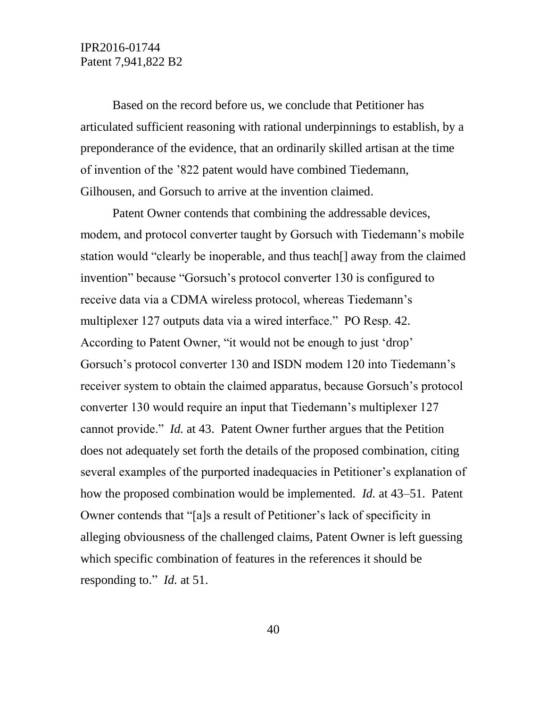Based on the record before us, we conclude that Petitioner has articulated sufficient reasoning with rational underpinnings to establish, by a preponderance of the evidence, that an ordinarily skilled artisan at the time of invention of the '822 patent would have combined Tiedemann, Gilhousen, and Gorsuch to arrive at the invention claimed.

Patent Owner contends that combining the addressable devices, modem, and protocol converter taught by Gorsuch with Tiedemann's mobile station would "clearly be inoperable, and thus teach[] away from the claimed invention" because "Gorsuch's protocol converter 130 is configured to receive data via a CDMA wireless protocol, whereas Tiedemann's multiplexer 127 outputs data via a wired interface." PO Resp. 42. According to Patent Owner, "it would not be enough to just 'drop' Gorsuch's protocol converter 130 and ISDN modem 120 into Tiedemann's receiver system to obtain the claimed apparatus, because Gorsuch's protocol converter 130 would require an input that Tiedemann's multiplexer 127 cannot provide." *Id.* at 43. Patent Owner further argues that the Petition does not adequately set forth the details of the proposed combination, citing several examples of the purported inadequacies in Petitioner's explanation of how the proposed combination would be implemented. *Id.* at 43–51. Patent Owner contends that "[a]s a result of Petitioner's lack of specificity in alleging obviousness of the challenged claims, Patent Owner is left guessing which specific combination of features in the references it should be responding to." *Id.* at 51.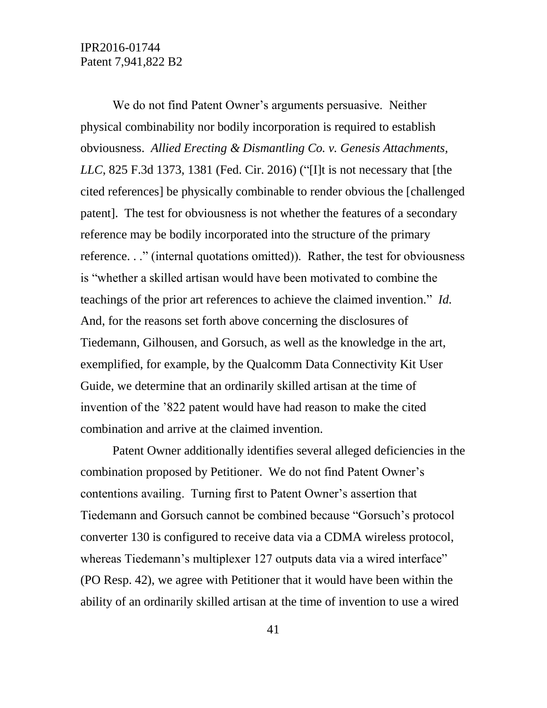We do not find Patent Owner's arguments persuasive. Neither physical combinability nor bodily incorporation is required to establish obviousness. *Allied Erecting & Dismantling Co. v. Genesis Attachments, LLC*, 825 F.3d 1373, 1381 (Fed. Cir. 2016) ("[I]t is not necessary that [the cited references] be physically combinable to render obvious the [challenged patent]. The test for obviousness is not whether the features of a secondary reference may be bodily incorporated into the structure of the primary reference. . ." (internal quotations omitted)). Rather, the test for obviousness is "whether a skilled artisan would have been motivated to combine the teachings of the prior art references to achieve the claimed invention." *Id.* And, for the reasons set forth above concerning the disclosures of Tiedemann, Gilhousen, and Gorsuch, as well as the knowledge in the art, exemplified, for example, by the Qualcomm Data Connectivity Kit User Guide, we determine that an ordinarily skilled artisan at the time of invention of the '822 patent would have had reason to make the cited combination and arrive at the claimed invention.

Patent Owner additionally identifies several alleged deficiencies in the combination proposed by Petitioner. We do not find Patent Owner's contentions availing. Turning first to Patent Owner's assertion that Tiedemann and Gorsuch cannot be combined because "Gorsuch's protocol converter 130 is configured to receive data via a CDMA wireless protocol, whereas Tiedemann's multiplexer 127 outputs data via a wired interface" (PO Resp. 42), we agree with Petitioner that it would have been within the ability of an ordinarily skilled artisan at the time of invention to use a wired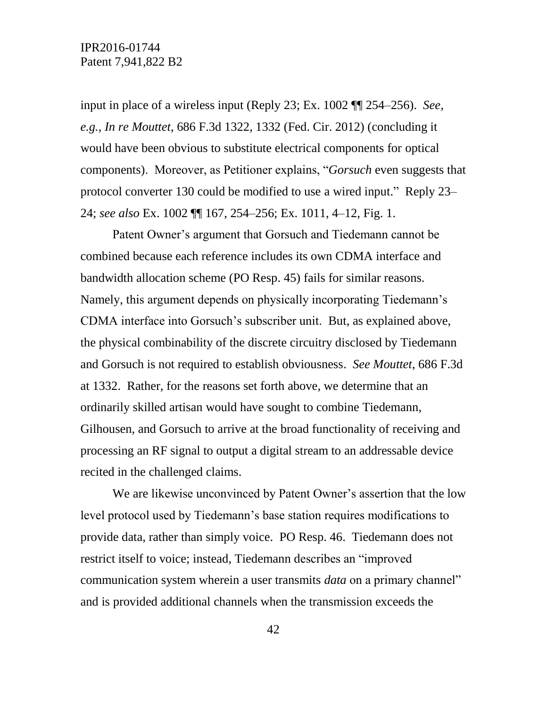input in place of a wireless input (Reply 23; Ex. 1002 ¶¶ 254–256). *See, e.g.*, *In re Mouttet*, 686 F.3d 1322, 1332 (Fed. Cir. 2012) (concluding it would have been obvious to substitute electrical components for optical components). Moreover, as Petitioner explains, "*Gorsuch* even suggests that protocol converter 130 could be modified to use a wired input." Reply 23– 24; *see also* Ex. 1002 ¶¶ 167, 254–256; Ex. 1011, 4–12, Fig. 1.

Patent Owner's argument that Gorsuch and Tiedemann cannot be combined because each reference includes its own CDMA interface and bandwidth allocation scheme (PO Resp. 45) fails for similar reasons. Namely, this argument depends on physically incorporating Tiedemann's CDMA interface into Gorsuch's subscriber unit. But, as explained above, the physical combinability of the discrete circuitry disclosed by Tiedemann and Gorsuch is not required to establish obviousness. *See Mouttet*, 686 F.3d at 1332. Rather, for the reasons set forth above, we determine that an ordinarily skilled artisan would have sought to combine Tiedemann, Gilhousen, and Gorsuch to arrive at the broad functionality of receiving and processing an RF signal to output a digital stream to an addressable device recited in the challenged claims.

We are likewise unconvinced by Patent Owner's assertion that the low level protocol used by Tiedemann's base station requires modifications to provide data, rather than simply voice. PO Resp. 46. Tiedemann does not restrict itself to voice; instead, Tiedemann describes an "improved communication system wherein a user transmits *data* on a primary channel" and is provided additional channels when the transmission exceeds the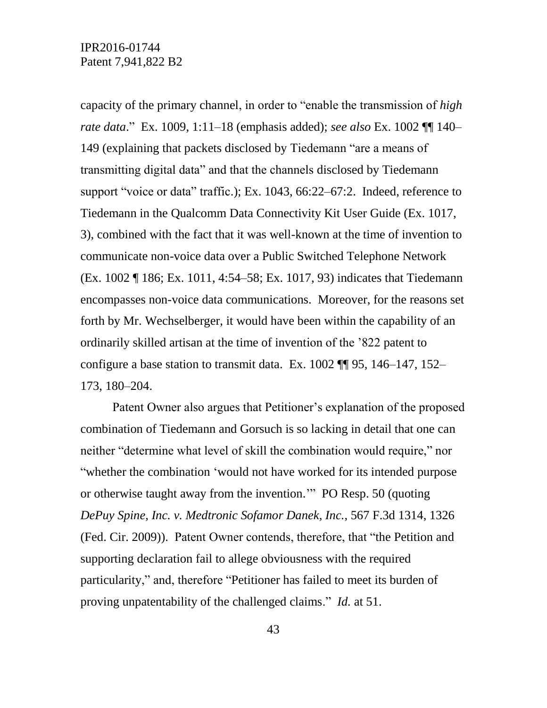capacity of the primary channel, in order to "enable the transmission of *high rate data*." Ex. 1009, 1:11–18 (emphasis added); *see also* Ex. 1002 ¶¶ 140– 149 (explaining that packets disclosed by Tiedemann "are a means of transmitting digital data" and that the channels disclosed by Tiedemann support "voice or data" traffic.); Ex. 1043, 66:22–67:2. Indeed, reference to Tiedemann in the Qualcomm Data Connectivity Kit User Guide (Ex. 1017, 3), combined with the fact that it was well-known at the time of invention to communicate non-voice data over a Public Switched Telephone Network (Ex. 1002 ¶ 186; Ex. 1011, 4:54–58; Ex. 1017, 93) indicates that Tiedemann encompasses non-voice data communications. Moreover, for the reasons set forth by Mr. Wechselberger, it would have been within the capability of an ordinarily skilled artisan at the time of invention of the '822 patent to configure a base station to transmit data. Ex. 1002 ¶¶ 95, 146–147, 152– 173, 180–204.

Patent Owner also argues that Petitioner's explanation of the proposed combination of Tiedemann and Gorsuch is so lacking in detail that one can neither "determine what level of skill the combination would require," nor "whether the combination 'would not have worked for its intended purpose or otherwise taught away from the invention.'" PO Resp. 50 (quoting *DePuy Spine, Inc. v. Medtronic Sofamor Danek, Inc.*, 567 F.3d 1314, 1326 (Fed. Cir. 2009)). Patent Owner contends, therefore, that "the Petition and supporting declaration fail to allege obviousness with the required particularity," and, therefore "Petitioner has failed to meet its burden of proving unpatentability of the challenged claims." *Id.* at 51.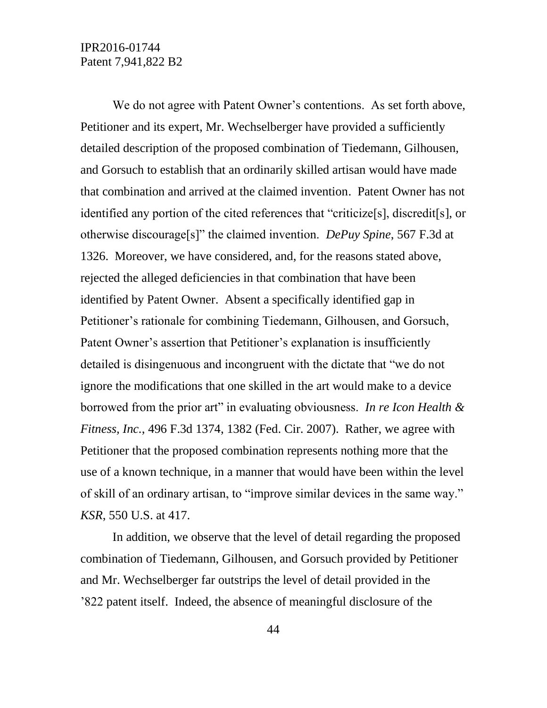We do not agree with Patent Owner's contentions. As set forth above, Petitioner and its expert, Mr. Wechselberger have provided a sufficiently detailed description of the proposed combination of Tiedemann, Gilhousen, and Gorsuch to establish that an ordinarily skilled artisan would have made that combination and arrived at the claimed invention. Patent Owner has not identified any portion of the cited references that "criticize[s], discredit[s], or otherwise discourage[s]" the claimed invention. *DePuy Spine*, 567 F.3d at 1326. Moreover, we have considered, and, for the reasons stated above, rejected the alleged deficiencies in that combination that have been identified by Patent Owner. Absent a specifically identified gap in Petitioner's rationale for combining Tiedemann, Gilhousen, and Gorsuch, Patent Owner's assertion that Petitioner's explanation is insufficiently detailed is disingenuous and incongruent with the dictate that "we do not ignore the modifications that one skilled in the art would make to a device borrowed from the prior art" in evaluating obviousness. *In re Icon Health & Fitness, Inc.*, 496 F.3d 1374, 1382 (Fed. Cir. 2007). Rather, we agree with Petitioner that the proposed combination represents nothing more that the use of a known technique, in a manner that would have been within the level of skill of an ordinary artisan, to "improve similar devices in the same way." *KSR*, 550 U.S. at 417.

In addition, we observe that the level of detail regarding the proposed combination of Tiedemann, Gilhousen, and Gorsuch provided by Petitioner and Mr. Wechselberger far outstrips the level of detail provided in the '822 patent itself. Indeed, the absence of meaningful disclosure of the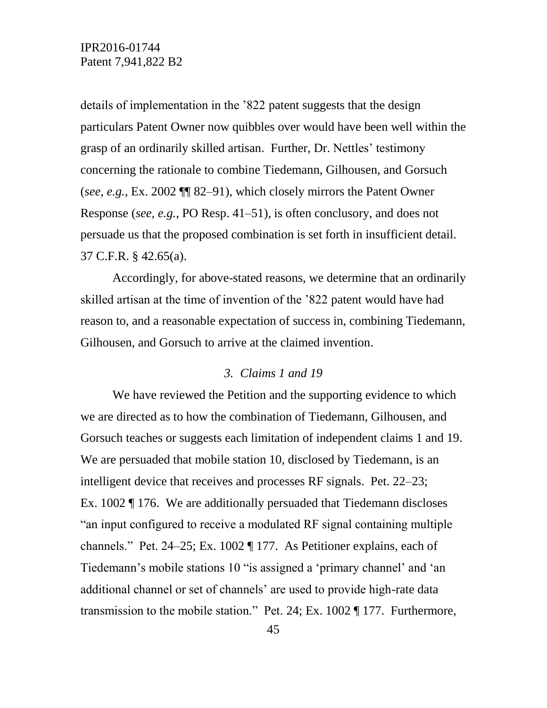details of implementation in the '822 patent suggests that the design particulars Patent Owner now quibbles over would have been well within the grasp of an ordinarily skilled artisan. Further, Dr. Nettles' testimony concerning the rationale to combine Tiedemann, Gilhousen, and Gorsuch (*see, e.g.*, Ex. 2002 ¶¶ 82–91), which closely mirrors the Patent Owner Response (*see, e.g.*, PO Resp. 41–51), is often conclusory, and does not persuade us that the proposed combination is set forth in insufficient detail. 37 C.F.R. § 42.65(a).

Accordingly, for above-stated reasons, we determine that an ordinarily skilled artisan at the time of invention of the '822 patent would have had reason to, and a reasonable expectation of success in, combining Tiedemann, Gilhousen, and Gorsuch to arrive at the claimed invention.

#### *3. Claims 1 and 19*

We have reviewed the Petition and the supporting evidence to which we are directed as to how the combination of Tiedemann, Gilhousen, and Gorsuch teaches or suggests each limitation of independent claims 1 and 19. We are persuaded that mobile station 10, disclosed by Tiedemann, is an intelligent device that receives and processes RF signals. Pet. 22–23; Ex. 1002 ¶ 176. We are additionally persuaded that Tiedemann discloses "an input configured to receive a modulated RF signal containing multiple channels." Pet. 24–25; Ex. 1002 ¶ 177. As Petitioner explains, each of Tiedemann's mobile stations 10 "is assigned a 'primary channel' and 'an additional channel or set of channels' are used to provide high-rate data transmission to the mobile station." Pet. 24; Ex. 1002 ¶ 177. Furthermore,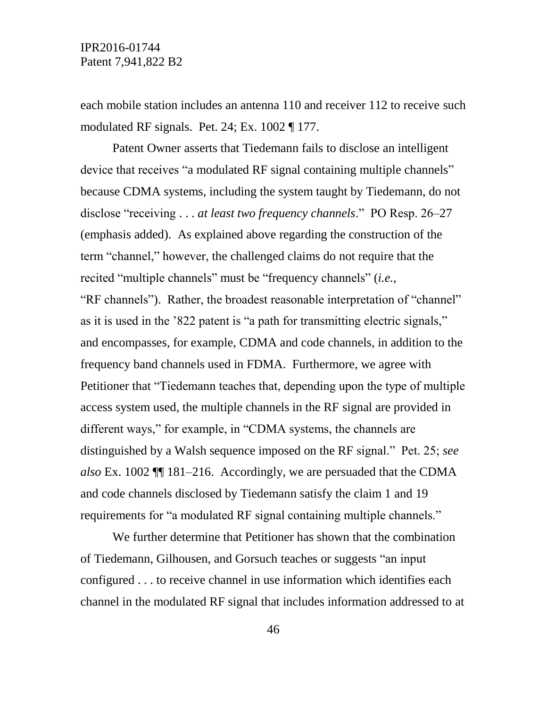each mobile station includes an antenna 110 and receiver 112 to receive such modulated RF signals. Pet. 24; Ex. 1002 ¶ 177.

Patent Owner asserts that Tiedemann fails to disclose an intelligent device that receives "a modulated RF signal containing multiple channels" because CDMA systems, including the system taught by Tiedemann, do not disclose "receiving . . . *at least two frequency channels*." PO Resp. 26–27 (emphasis added). As explained above regarding the construction of the term "channel," however, the challenged claims do not require that the recited "multiple channels" must be "frequency channels" (*i.e.*, "RF channels"). Rather, the broadest reasonable interpretation of "channel" as it is used in the '822 patent is "a path for transmitting electric signals," and encompasses, for example, CDMA and code channels, in addition to the frequency band channels used in FDMA. Furthermore, we agree with Petitioner that "Tiedemann teaches that, depending upon the type of multiple access system used, the multiple channels in the RF signal are provided in different ways," for example, in "CDMA systems, the channels are distinguished by a Walsh sequence imposed on the RF signal." Pet. 25; *see also* Ex. 1002 ¶¶ 181–216. Accordingly, we are persuaded that the CDMA and code channels disclosed by Tiedemann satisfy the claim 1 and 19 requirements for "a modulated RF signal containing multiple channels."

We further determine that Petitioner has shown that the combination of Tiedemann, Gilhousen, and Gorsuch teaches or suggests "an input configured . . . to receive channel in use information which identifies each channel in the modulated RF signal that includes information addressed to at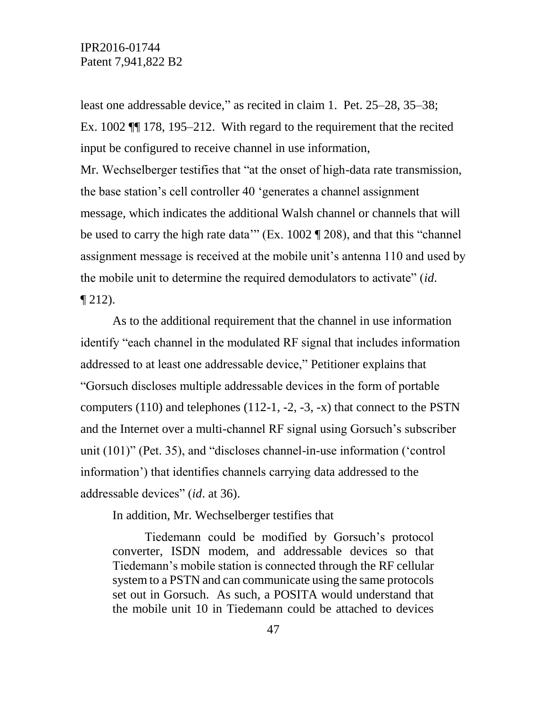least one addressable device," as recited in claim 1. Pet. 25–28, 35–38; Ex. 1002 ¶¶ 178, 195–212. With regard to the requirement that the recited input be configured to receive channel in use information, Mr. Wechselberger testifies that "at the onset of high-data rate transmission, the base station's cell controller 40 'generates a channel assignment message, which indicates the additional Walsh channel or channels that will be used to carry the high rate data'" (Ex. 1002 ¶ 208), and that this "channel assignment message is received at the mobile unit's antenna 110 and used by the mobile unit to determine the required demodulators to activate" (*id*.  $\P$  212).

As to the additional requirement that the channel in use information identify "each channel in the modulated RF signal that includes information addressed to at least one addressable device," Petitioner explains that "Gorsuch discloses multiple addressable devices in the form of portable computers  $(110)$  and telephones  $(112-1, -2, -3, -x)$  that connect to the PSTN and the Internet over a multi-channel RF signal using Gorsuch's subscriber unit (101)" (Pet. 35), and "discloses channel-in-use information ('control information') that identifies channels carrying data addressed to the addressable devices" (*id*. at 36).

In addition, Mr. Wechselberger testifies that

Tiedemann could be modified by Gorsuch's protocol converter, ISDN modem, and addressable devices so that Tiedemann's mobile station is connected through the RF cellular system to a PSTN and can communicate using the same protocols set out in Gorsuch. As such, a POSITA would understand that the mobile unit 10 in Tiedemann could be attached to devices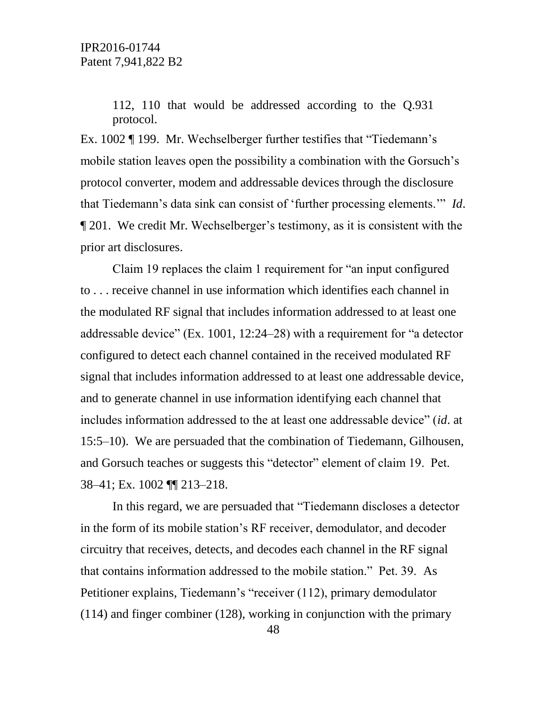112, 110 that would be addressed according to the Q.931 protocol.

Ex. 1002 ¶ 199. Mr. Wechselberger further testifies that "Tiedemann's mobile station leaves open the possibility a combination with the Gorsuch's protocol converter, modem and addressable devices through the disclosure that Tiedemann's data sink can consist of 'further processing elements.'" *Id*. ¶ 201. We credit Mr. Wechselberger's testimony, as it is consistent with the prior art disclosures.

Claim 19 replaces the claim 1 requirement for "an input configured to . . . receive channel in use information which identifies each channel in the modulated RF signal that includes information addressed to at least one addressable device" (Ex. 1001, 12:24–28) with a requirement for "a detector configured to detect each channel contained in the received modulated RF signal that includes information addressed to at least one addressable device, and to generate channel in use information identifying each channel that includes information addressed to the at least one addressable device" (*id*. at 15:5–10). We are persuaded that the combination of Tiedemann, Gilhousen, and Gorsuch teaches or suggests this "detector" element of claim 19. Pet. 38–41; Ex. 1002 ¶¶ 213–218.

In this regard, we are persuaded that "Tiedemann discloses a detector in the form of its mobile station's RF receiver, demodulator, and decoder circuitry that receives, detects, and decodes each channel in the RF signal that contains information addressed to the mobile station." Pet. 39. As Petitioner explains, Tiedemann's "receiver (112), primary demodulator (114) and finger combiner (128), working in conjunction with the primary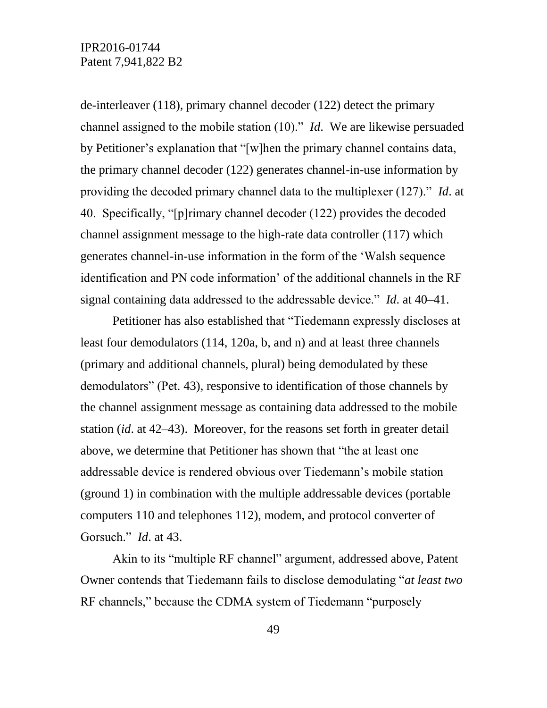de-interleaver (118), primary channel decoder (122) detect the primary channel assigned to the mobile station (10)." *Id*. We are likewise persuaded by Petitioner's explanation that "[w]hen the primary channel contains data, the primary channel decoder (122) generates channel-in-use information by providing the decoded primary channel data to the multiplexer (127)." *Id*. at 40. Specifically, "[p]rimary channel decoder (122) provides the decoded channel assignment message to the high-rate data controller (117) which generates channel-in-use information in the form of the 'Walsh sequence identification and PN code information' of the additional channels in the RF signal containing data addressed to the addressable device." *Id*. at 40–41.

Petitioner has also established that "Tiedemann expressly discloses at least four demodulators (114, 120a, b, and n) and at least three channels (primary and additional channels, plural) being demodulated by these demodulators" (Pet. 43), responsive to identification of those channels by the channel assignment message as containing data addressed to the mobile station (*id*. at 42–43). Moreover, for the reasons set forth in greater detail above, we determine that Petitioner has shown that "the at least one addressable device is rendered obvious over Tiedemann's mobile station (ground 1) in combination with the multiple addressable devices (portable computers 110 and telephones 112), modem, and protocol converter of Gorsuch." *Id*. at 43.

Akin to its "multiple RF channel" argument, addressed above, Patent Owner contends that Tiedemann fails to disclose demodulating "*at least two*  RF channels," because the CDMA system of Tiedemann "purposely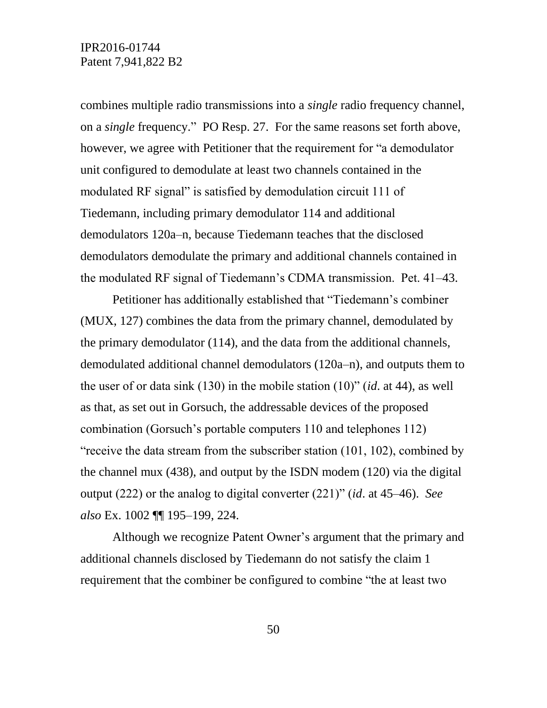combines multiple radio transmissions into a *single* radio frequency channel, on a *single* frequency." PO Resp. 27. For the same reasons set forth above, however, we agree with Petitioner that the requirement for "a demodulator unit configured to demodulate at least two channels contained in the modulated RF signal" is satisfied by demodulation circuit 111 of Tiedemann, including primary demodulator 114 and additional demodulators 120a–n, because Tiedemann teaches that the disclosed demodulators demodulate the primary and additional channels contained in the modulated RF signal of Tiedemann's CDMA transmission. Pet. 41–43.

Petitioner has additionally established that "Tiedemann's combiner (MUX, 127) combines the data from the primary channel, demodulated by the primary demodulator (114), and the data from the additional channels, demodulated additional channel demodulators (120a–n), and outputs them to the user of or data sink (130) in the mobile station (10)" (*id*. at 44), as well as that, as set out in Gorsuch, the addressable devices of the proposed combination (Gorsuch's portable computers 110 and telephones 112) "receive the data stream from the subscriber station (101, 102), combined by the channel mux (438), and output by the ISDN modem (120) via the digital output (222) or the analog to digital converter (221)" (*id*. at 45–46). *See also* Ex. 1002 ¶¶ 195–199, 224.

Although we recognize Patent Owner's argument that the primary and additional channels disclosed by Tiedemann do not satisfy the claim 1 requirement that the combiner be configured to combine "the at least two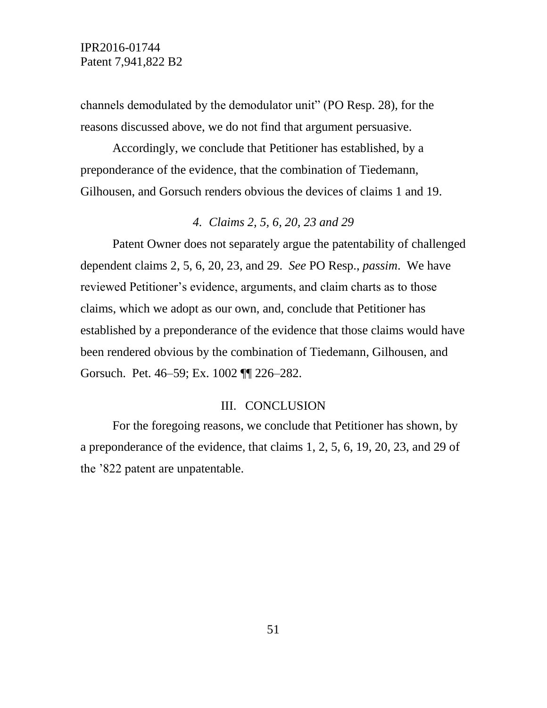channels demodulated by the demodulator unit" (PO Resp. 28), for the reasons discussed above, we do not find that argument persuasive.

Accordingly, we conclude that Petitioner has established, by a preponderance of the evidence, that the combination of Tiedemann, Gilhousen, and Gorsuch renders obvious the devices of claims 1 and 19.

#### *4. Claims 2, 5, 6, 20, 23 and 29*

Patent Owner does not separately argue the patentability of challenged dependent claims 2, 5, 6, 20, 23, and 29. *See* PO Resp., *passim*. We have reviewed Petitioner's evidence, arguments, and claim charts as to those claims, which we adopt as our own, and, conclude that Petitioner has established by a preponderance of the evidence that those claims would have been rendered obvious by the combination of Tiedemann, Gilhousen, and Gorsuch. Pet. 46–59; Ex. 1002 ¶¶ 226–282.

#### III. CONCLUSION

For the foregoing reasons, we conclude that Petitioner has shown, by a preponderance of the evidence, that claims 1, 2, 5, 6, 19, 20, 23, and 29 of the '822 patent are unpatentable.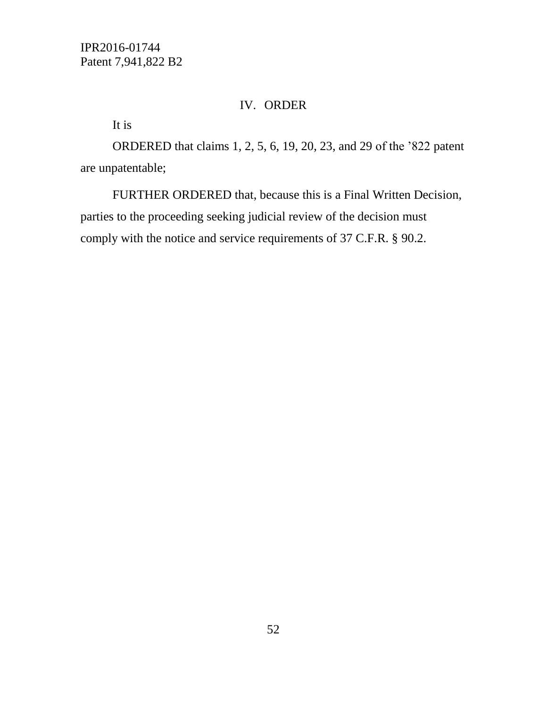# IV. ORDER

It is

ORDERED that claims 1, 2, 5, 6, 19, 20, 23, and 29 of the '822 patent are unpatentable;

FURTHER ORDERED that, because this is a Final Written Decision, parties to the proceeding seeking judicial review of the decision must comply with the notice and service requirements of 37 C.F.R. § 90.2.